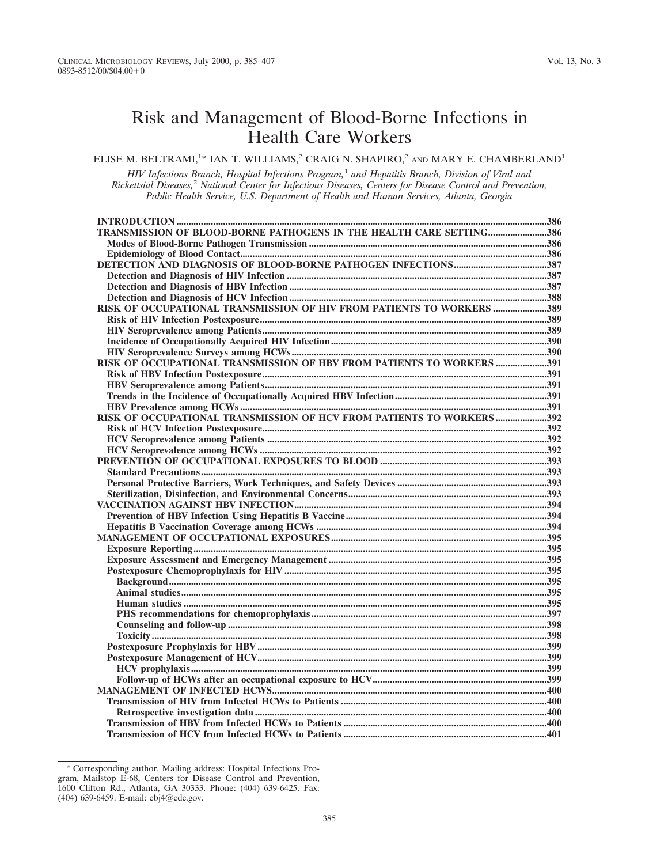# Risk and Management of Blood-Borne Infections in Health Care Workers

ELISE M. BELTRAMI,<sup>1\*</sup> IAN T. WILLIAMS,<sup>2</sup> CRAIG N. SHAPIRO,<sup>2</sup> and MARY E. CHAMBERLAND<sup>1</sup>

*HIV Infections Branch, Hospital Infections Program,*<sup>1</sup> *and Hepatitis Branch, Division of Viral and Rickettsial Diseases,*<sup>2</sup> *National Center for Infectious Diseases, Centers for Disease Control and Prevention, Public Health Service, U.S. Department of Health and Human Services, Atlanta, Georgia*

| TRANSMISSION OF BLOOD-BORNE PATHOGENS IN THE HEALTH CARE SETTING386   |  |
|-----------------------------------------------------------------------|--|
|                                                                       |  |
|                                                                       |  |
|                                                                       |  |
|                                                                       |  |
|                                                                       |  |
|                                                                       |  |
| RISK OF OCCUPATIONAL TRANSMISSION OF HIV FROM PATIENTS TO WORKERS 389 |  |
|                                                                       |  |
|                                                                       |  |
|                                                                       |  |
|                                                                       |  |
| RISK OF OCCUPATIONAL TRANSMISSION OF HBV FROM PATIENTS TO WORKERS 391 |  |
|                                                                       |  |
|                                                                       |  |
|                                                                       |  |
|                                                                       |  |
| RISK OF OCCUPATIONAL TRANSMISSION OF HCV FROM PATIENTS TO WORKERS392  |  |
|                                                                       |  |
|                                                                       |  |
|                                                                       |  |
|                                                                       |  |
|                                                                       |  |
|                                                                       |  |
|                                                                       |  |
|                                                                       |  |
|                                                                       |  |
|                                                                       |  |
|                                                                       |  |
|                                                                       |  |
|                                                                       |  |
|                                                                       |  |
|                                                                       |  |
|                                                                       |  |
|                                                                       |  |
|                                                                       |  |
|                                                                       |  |
|                                                                       |  |
|                                                                       |  |
|                                                                       |  |
|                                                                       |  |
|                                                                       |  |
|                                                                       |  |
|                                                                       |  |
|                                                                       |  |
|                                                                       |  |
|                                                                       |  |

<sup>\*</sup> Corresponding author. Mailing address: Hospital Infections Program, Mailstop E-68, Centers for Disease Control and Prevention, 1600 Clifton Rd., Atlanta, GA 30333. Phone: (404) 639-6425. Fax: (404) 639-6459. E-mail: ebj4@cdc.gov.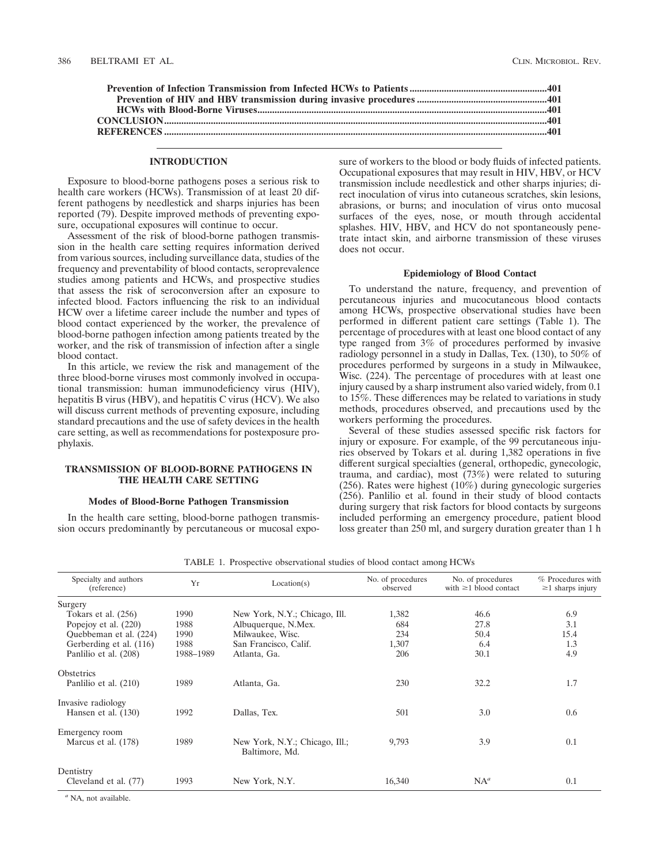#### **INTRODUCTION**

Exposure to blood-borne pathogens poses a serious risk to health care workers (HCWs). Transmission of at least 20 different pathogens by needlestick and sharps injuries has been reported (79). Despite improved methods of preventing exposure, occupational exposures will continue to occur.

Assessment of the risk of blood-borne pathogen transmission in the health care setting requires information derived from various sources, including surveillance data, studies of the frequency and preventability of blood contacts, seroprevalence studies among patients and HCWs, and prospective studies that assess the risk of seroconversion after an exposure to infected blood. Factors influencing the risk to an individual HCW over a lifetime career include the number and types of blood contact experienced by the worker, the prevalence of blood-borne pathogen infection among patients treated by the worker, and the risk of transmission of infection after a single blood contact.

In this article, we review the risk and management of the three blood-borne viruses most commonly involved in occupational transmission: human immunodeficiency virus (HIV), hepatitis B virus (HBV), and hepatitis C virus (HCV). We also will discuss current methods of preventing exposure, including standard precautions and the use of safety devices in the health care setting, as well as recommendations for postexposure prophylaxis.

# **TRANSMISSION OF BLOOD-BORNE PATHOGENS IN THE HEALTH CARE SETTING**

# **Modes of Blood-Borne Pathogen Transmission**

In the health care setting, blood-borne pathogen transmission occurs predominantly by percutaneous or mucosal exposure of workers to the blood or body fluids of infected patients. Occupational exposures that may result in HIV, HBV, or HCV transmission include needlestick and other sharps injuries; direct inoculation of virus into cutaneous scratches, skin lesions, abrasions, or burns; and inoculation of virus onto mucosal surfaces of the eyes, nose, or mouth through accidental splashes. HIV, HBV, and HCV do not spontaneously penetrate intact skin, and airborne transmission of these viruses does not occur.

#### **Epidemiology of Blood Contact**

To understand the nature, frequency, and prevention of percutaneous injuries and mucocutaneous blood contacts among HCWs, prospective observational studies have been performed in different patient care settings (Table 1). The percentage of procedures with at least one blood contact of any type ranged from 3% of procedures performed by invasive radiology personnel in a study in Dallas, Tex. (130), to 50% of procedures performed by surgeons in a study in Milwaukee, Wisc. (224). The percentage of procedures with at least one injury caused by a sharp instrument also varied widely, from 0.1 to 15%. These differences may be related to variations in study methods, procedures observed, and precautions used by the workers performing the procedures.

Several of these studies assessed specific risk factors for injury or exposure. For example, of the 99 percutaneous injuries observed by Tokars et al. during 1,382 operations in five different surgical specialties (general, orthopedic, gynecologic, trauma, and cardiac), most (73%) were related to suturing (256). Rates were highest (10%) during gynecologic surgeries (256). Panlilio et al. found in their study of blood contacts during surgery that risk factors for blood contacts by surgeons included performing an emergency procedure, patient blood loss greater than 250 ml, and surgery duration greater than 1 h

TABLE 1. Prospective observational studies of blood contact among HCWs

| Specialty and authors<br>(reference) | Yr        | Location(s)                                      | No. of procedures<br>observed | No. of procedures<br>with $\geq 1$ blood contact | % Procedures with<br>$\geq$ 1 sharps injury |
|--------------------------------------|-----------|--------------------------------------------------|-------------------------------|--------------------------------------------------|---------------------------------------------|
| Surgery                              |           |                                                  |                               |                                                  |                                             |
| Tokars et al. $(256)$                | 1990      | New York, N.Y.; Chicago, Ill.                    | 1,382                         | 46.6                                             | 6.9                                         |
| Popejoy et al. (220)                 | 1988      | Albuquerque, N.Mex.                              | 684                           | 27.8                                             | 3.1                                         |
| Ouebbeman et al. (224)               | 1990      | Milwaukee, Wisc.                                 | 234                           | 50.4                                             | 15.4                                        |
| Gerberding et al. (116)              | 1988      | San Francisco, Calif.                            | 1,307                         | 6.4                                              | 1.3                                         |
| Panlilio et al. (208)                | 1988-1989 | Atlanta, Ga.                                     | 206                           | 30.1                                             | 4.9                                         |
| <b>Obstetrics</b>                    |           |                                                  |                               |                                                  |                                             |
| Panlilio et al. (210)                | 1989      | Atlanta, Ga.                                     | 230                           | 32.2                                             | 1.7                                         |
| Invasive radiology                   |           |                                                  |                               |                                                  |                                             |
| Hansen et al. (130)                  | 1992      | Dallas, Tex.                                     | 501                           | 3.0                                              | 0.6                                         |
| Emergency room                       |           |                                                  |                               |                                                  |                                             |
| Marcus et al. (178)                  | 1989      | New York, N.Y.; Chicago, Ill.;<br>Baltimore, Md. | 9,793                         | 3.9                                              | 0.1                                         |
| Dentistry                            |           |                                                  |                               |                                                  |                                             |
| Cleveland et al. (77)                | 1993      | New York, N.Y.                                   | 16,340                        | $NA^a$                                           | 0.1                                         |

*<sup>a</sup>* NA, not available.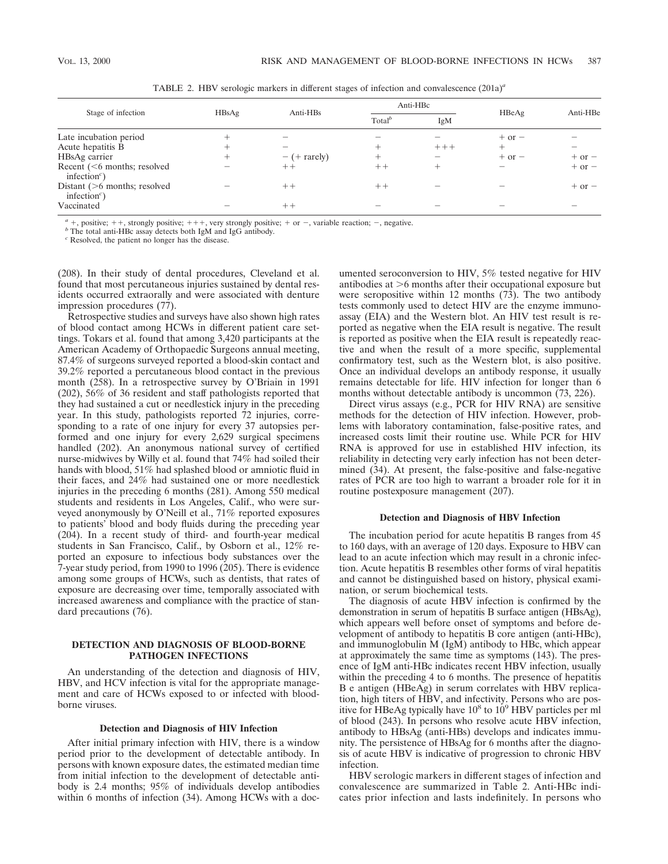|                                                                          | HBsAg | Anti-HBs       |                    | Anti-HBc | HBeAg      | Anti-HBe   |
|--------------------------------------------------------------------------|-------|----------------|--------------------|----------|------------|------------|
| Stage of infection                                                       |       |                | Total <sup>b</sup> | IgM      |            |            |
| Late incubation period                                                   |       |                |                    |          | $+$ or $-$ |            |
| Acute hepatitis B                                                        | $^+$  |                | -                  | $+++$    | $\pm$      |            |
| HBsAg carrier                                                            | $^+$  | $- (+$ rarely) | -                  |          | $+$ or $-$ | $+$ or $-$ |
| Recent $(< 6$ months; resolved<br>infection <sup><math>c</math></sup> )  |       |                | $++$               | +        |            | $+$ or $-$ |
| Distant $($ >6 months; resolved<br>infection <sup><math>c</math></sup> ) |       | $++$           | $++$               |          |            | $+$ or $-$ |
| Vaccinated                                                               |       | $+ +$          |                    |          |            |            |

TABLE 2. HBV serologic markers in different stages of infection and convalescence (201a)*<sup>a</sup>*

 $a +$ , positive;  $++$ , strongly positive;  $++$ , very strongly positive;  $+$  or  $-$ , variable reaction;  $-$ , negative. *b* The total anti-HBc assay detects both IgM and IgG antibody.

*<sup>c</sup>* Resolved, the patient no longer has the disease.

(208). In their study of dental procedures, Cleveland et al. found that most percutaneous injuries sustained by dental residents occurred extraorally and were associated with denture impression procedures (77).

Retrospective studies and surveys have also shown high rates of blood contact among HCWs in different patient care settings. Tokars et al. found that among 3,420 participants at the American Academy of Orthopaedic Surgeons annual meeting, 87.4% of surgeons surveyed reported a blood-skin contact and 39.2% reported a percutaneous blood contact in the previous month (258). In a retrospective survey by O'Briain in 1991 (202), 56% of 36 resident and staff pathologists reported that they had sustained a cut or needlestick injury in the preceding year. In this study, pathologists reported 72 injuries, corresponding to a rate of one injury for every 37 autopsies performed and one injury for every 2,629 surgical specimens handled (202). An anonymous national survey of certified nurse-midwives by Willy et al. found that 74% had soiled their hands with blood, 51% had splashed blood or amniotic fluid in their faces, and 24% had sustained one or more needlestick injuries in the preceding 6 months (281). Among 550 medical students and residents in Los Angeles, Calif., who were surveyed anonymously by O'Neill et al., 71% reported exposures to patients' blood and body fluids during the preceding year (204). In a recent study of third- and fourth-year medical students in San Francisco, Calif., by Osborn et al., 12% reported an exposure to infectious body substances over the 7-year study period, from 1990 to 1996 (205). There is evidence among some groups of HCWs, such as dentists, that rates of exposure are decreasing over time, temporally associated with increased awareness and compliance with the practice of standard precautions (76).

# **DETECTION AND DIAGNOSIS OF BLOOD-BORNE PATHOGEN INFECTIONS**

An understanding of the detection and diagnosis of HIV, HBV, and HCV infection is vital for the appropriate management and care of HCWs exposed to or infected with bloodborne viruses.

## **Detection and Diagnosis of HIV Infection**

After initial primary infection with HIV, there is a window period prior to the development of detectable antibody. In persons with known exposure dates, the estimated median time from initial infection to the development of detectable antibody is 2.4 months; 95% of individuals develop antibodies within 6 months of infection (34). Among HCWs with a documented seroconversion to HIV, 5% tested negative for HIV antibodies at  $>6$  months after their occupational exposure but were seropositive within 12 months (73). The two antibody tests commonly used to detect HIV are the enzyme immunoassay (EIA) and the Western blot. An HIV test result is reported as negative when the EIA result is negative. The result is reported as positive when the EIA result is repeatedly reactive and when the result of a more specific, supplemental confirmatory test, such as the Western blot, is also positive. Once an individual develops an antibody response, it usually remains detectable for life. HIV infection for longer than 6 months without detectable antibody is uncommon (73, 226).

Direct virus assays (e.g., PCR for HIV RNA) are sensitive methods for the detection of HIV infection. However, problems with laboratory contamination, false-positive rates, and increased costs limit their routine use. While PCR for HIV RNA is approved for use in established HIV infection, its reliability in detecting very early infection has not been determined (34). At present, the false-positive and false-negative rates of PCR are too high to warrant a broader role for it in routine postexposure management (207).

## **Detection and Diagnosis of HBV Infection**

The incubation period for acute hepatitis B ranges from 45 to 160 days, with an average of 120 days. Exposure to HBV can lead to an acute infection which may result in a chronic infection. Acute hepatitis B resembles other forms of viral hepatitis and cannot be distinguished based on history, physical examination, or serum biochemical tests.

The diagnosis of acute HBV infection is confirmed by the demonstration in serum of hepatitis B surface antigen (HBsAg), which appears well before onset of symptoms and before development of antibody to hepatitis B core antigen (anti-HBc), and immunoglobulin M (IgM) antibody to HBc, which appear at approximately the same time as symptoms (143). The presence of IgM anti-HBc indicates recent HBV infection, usually within the preceding 4 to 6 months. The presence of hepatitis B e antigen (HBeAg) in serum correlates with HBV replication, high titers of HBV, and infectivity. Persons who are positive for HBeAg typically have  $10^8$  to  $10^9$  HBV particles per ml of blood (243). In persons who resolve acute HBV infection, antibody to HBsAg (anti-HBs) develops and indicates immunity. The persistence of HBsAg for 6 months after the diagnosis of acute HBV is indicative of progression to chronic HBV infection.

HBV serologic markers in different stages of infection and convalescence are summarized in Table 2. Anti-HBc indicates prior infection and lasts indefinitely. In persons who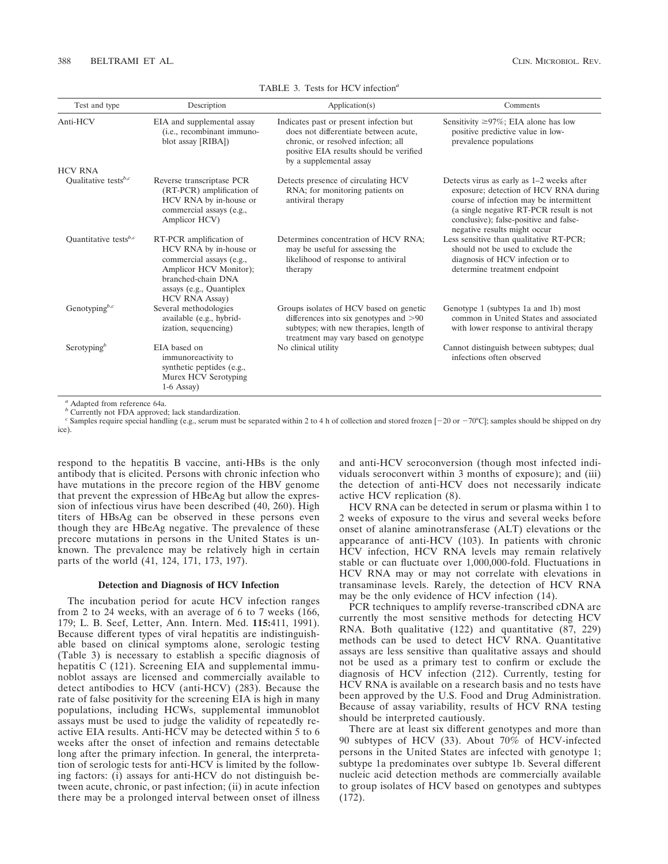| Test and type                    | Description                                                                                                                                                                         | Application(s)                                                                                                                                                                                | Comments                                                                                                                                                                                                                                           |
|----------------------------------|-------------------------------------------------------------------------------------------------------------------------------------------------------------------------------------|-----------------------------------------------------------------------------------------------------------------------------------------------------------------------------------------------|----------------------------------------------------------------------------------------------------------------------------------------------------------------------------------------------------------------------------------------------------|
| Anti-HCV                         | EIA and supplemental assay<br>(i.e., recombinant immuno-<br>blot assay [RIBA])                                                                                                      | Indicates past or present infection but<br>does not differentiate between acute,<br>chronic, or resolved infection; all<br>positive EIA results should be verified<br>by a supplemental assay | Sensitivity $\geq$ 97%; EIA alone has low<br>positive predictive value in low-<br>prevalence populations                                                                                                                                           |
| <b>HCV RNA</b>                   |                                                                                                                                                                                     |                                                                                                                                                                                               |                                                                                                                                                                                                                                                    |
| Oualitative tests <sup>b,c</sup> | Reverse transcriptase PCR<br>(RT-PCR) amplification of<br>HCV RNA by in-house or<br>commercial assays (e.g.,<br>Amplicor HCV)                                                       | Detects presence of circulating HCV<br>RNA; for monitoring patients on<br>antiviral therapy                                                                                                   | Detects virus as early as 1–2 weeks after<br>exposure; detection of HCV RNA during<br>course of infection may be intermittent<br>(a single negative RT-PCR result is not<br>conclusive); false-positive and false-<br>negative results might occur |
| Ouantitative tests $b,c$         | RT-PCR amplification of<br>HCV RNA by in-house or<br>commercial assays (e.g.,<br>Amplicor HCV Monitor);<br>branched-chain DNA<br>assays (e.g., Quantiplex<br><b>HCV RNA Assay</b> ) | Determines concentration of HCV RNA:<br>may be useful for assessing the<br>likelihood of response to antiviral<br>therapy                                                                     | Less sensitive than qualitative RT-PCR;<br>should not be used to exclude the<br>diagnosis of HCV infection or to<br>determine treatment endpoint                                                                                                   |
| Genotyping $b,c$                 | Several methodologies<br>available (e.g., hybrid-<br>ization, sequencing)                                                                                                           | Groups isolates of HCV based on genetic<br>differences into six genotypes and $>90$<br>subtypes; with new therapies, length of<br>treatment may vary based on genotype                        | Genotype 1 (subtypes 1a and 1b) most<br>common in United States and associated<br>with lower response to antiviral therapy                                                                                                                         |
| Serotyping <sup>b</sup>          | EIA based on<br>immunoreactivity to<br>synthetic peptides (e.g.,<br>Murex HCV Serotyping<br>$1-6$ Assay)                                                                            | No clinical utility                                                                                                                                                                           | Cannot distinguish between subtypes; dual<br>infections often observed                                                                                                                                                                             |

TABLE 3. Tests for HCV infection*<sup>a</sup>*

*<sup>a</sup>* Adapted from reference 64a.

*<sup>b</sup>* Currently not FDA approved; lack standardization.

<sup>*c*</sup> Samples require special handling (e.g., serum must be separated within 2 to 4 h of collection and stored frozen [-20 or -70°C]; samples should be shipped on dry ice).

respond to the hepatitis B vaccine, anti-HBs is the only antibody that is elicited. Persons with chronic infection who have mutations in the precore region of the HBV genome that prevent the expression of HBeAg but allow the expression of infectious virus have been described (40, 260). High titers of HBsAg can be observed in these persons even though they are HBeAg negative. The prevalence of these precore mutations in persons in the United States is unknown. The prevalence may be relatively high in certain parts of the world (41, 124, 171, 173, 197).

## **Detection and Diagnosis of HCV Infection**

The incubation period for acute HCV infection ranges from 2 to 24 weeks, with an average of 6 to 7 weeks (166, 179; L. B. Seef, Letter, Ann. Intern. Med. **115:**411, 1991). Because different types of viral hepatitis are indistinguishable based on clinical symptoms alone, serologic testing (Table 3) is necessary to establish a specific diagnosis of hepatitis C (121). Screening EIA and supplemental immunoblot assays are licensed and commercially available to detect antibodies to HCV (anti-HCV) (283). Because the rate of false positivity for the screening EIA is high in many populations, including HCWs, supplemental immunoblot assays must be used to judge the validity of repeatedly reactive EIA results. Anti-HCV may be detected within 5 to 6 weeks after the onset of infection and remains detectable long after the primary infection. In general, the interpretation of serologic tests for anti-HCV is limited by the following factors: (i) assays for anti-HCV do not distinguish between acute, chronic, or past infection; (ii) in acute infection there may be a prolonged interval between onset of illness and anti-HCV seroconversion (though most infected individuals seroconvert within 3 months of exposure); and (iii) the detection of anti-HCV does not necessarily indicate active HCV replication (8).

HCV RNA can be detected in serum or plasma within 1 to 2 weeks of exposure to the virus and several weeks before onset of alanine aminotransferase (ALT) elevations or the appearance of anti-HCV (103). In patients with chronic HCV infection, HCV RNA levels may remain relatively stable or can fluctuate over 1,000,000-fold. Fluctuations in HCV RNA may or may not correlate with elevations in transaminase levels. Rarely, the detection of HCV RNA may be the only evidence of HCV infection (14).

PCR techniques to amplify reverse-transcribed cDNA are currently the most sensitive methods for detecting HCV RNA. Both qualitative (122) and quantitative (87, 229) methods can be used to detect HCV RNA. Quantitative assays are less sensitive than qualitative assays and should not be used as a primary test to confirm or exclude the diagnosis of HCV infection (212). Currently, testing for HCV RNA is available on a research basis and no tests have been approved by the U.S. Food and Drug Administration. Because of assay variability, results of HCV RNA testing should be interpreted cautiously.

There are at least six different genotypes and more than 90 subtypes of HCV (33). About 70% of HCV-infected persons in the United States are infected with genotype 1; subtype 1a predominates over subtype 1b. Several different nucleic acid detection methods are commercially available to group isolates of HCV based on genotypes and subtypes (172).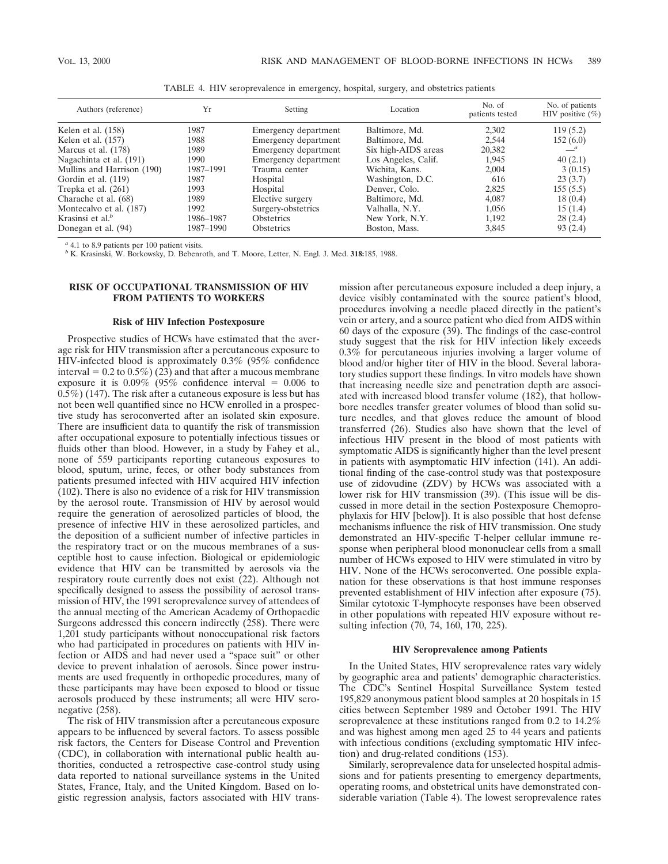| Authors (reference)          | Yr        | Setting              | Location            | No. of<br>patients tested | No. of patients<br>HIV positive $(\% )$ |
|------------------------------|-----------|----------------------|---------------------|---------------------------|-----------------------------------------|
| Kelen et al. (158)           | 1987      | Emergency department | Baltimore, Md.      | 2.302                     | 119(5.2)                                |
| Kelen et al. (157)           | 1988      | Emergency department | Baltimore, Md.      | 2,544                     | 152(6.0)                                |
| Marcus et al. (178)          | 1989      | Emergency department | Six high-AIDS areas | 20,382                    |                                         |
| Nagachinta et al. (191)      | 1990      | Emergency department | Los Angeles, Calif. | 1.945                     | 40(2.1)                                 |
| Mullins and Harrison (190)   | 1987-1991 | Trauma center        | Wichita, Kans.      | 2.004                     | 3(0.15)                                 |
| Gordin et al. (119)          | 1987      | Hospital             | Washington, D.C.    | 616                       | 23(3.7)                                 |
| Trepka et al. (261)          | 1993      | Hospital             | Denver, Colo.       | 2.825                     | 155(5.5)                                |
| Charache et al. (68)         | 1989      | Elective surgery     | Baltimore, Md.      | 4.087                     | 18(0.4)                                 |
| Montecalvo et al. (187)      | 1992      | Surgery-obstetrics   | Valhalla, N.Y.      | 1,056                     | 15(1.4)                                 |
| Krasinsi et al. <sup>b</sup> | 1986-1987 | <b>Obstetrics</b>    | New York, N.Y.      | 1.192                     | 28(2.4)                                 |
| Donegan et al. (94)          | 1987-1990 | <b>Obstetrics</b>    | Boston, Mass.       | 3,845                     | 93(2.4)                                 |

TABLE 4. HIV seroprevalence in emergency, hospital, surgery, and obstetrics patients

*<sup>a</sup>* 4.1 to 8.9 patients per 100 patient visits.

*<sup>b</sup>* K. Krasinski, W. Borkowsky, D. Bebenroth, and T. Moore, Letter, N. Engl. J. Med. **318:**185, 1988.

# **RISK OF OCCUPATIONAL TRANSMISSION OF HIV FROM PATIENTS TO WORKERS**

# **Risk of HIV Infection Postexposure**

Prospective studies of HCWs have estimated that the average risk for HIV transmission after a percutaneous exposure to HIV-infected blood is approximately 0.3% (95% confidence interval = 0.2 to 0.5%) (23) and that after a mucous membrane exposure it is  $0.09\%$  (95% confidence interval = 0.006 to 0.5%) (147). The risk after a cutaneous exposure is less but has not been well quantified since no HCW enrolled in a prospective study has seroconverted after an isolated skin exposure. There are insufficient data to quantify the risk of transmission after occupational exposure to potentially infectious tissues or fluids other than blood. However, in a study by Fahey et al., none of 559 participants reporting cutaneous exposures to blood, sputum, urine, feces, or other body substances from patients presumed infected with HIV acquired HIV infection (102). There is also no evidence of a risk for HIV transmission by the aerosol route. Transmission of HIV by aerosol would require the generation of aerosolized particles of blood, the presence of infective HIV in these aerosolized particles, and the deposition of a sufficient number of infective particles in the respiratory tract or on the mucous membranes of a susceptible host to cause infection. Biological or epidemiologic evidence that HIV can be transmitted by aerosols via the respiratory route currently does not exist (22). Although not specifically designed to assess the possibility of aerosol transmission of HIV, the 1991 seroprevalence survey of attendees of the annual meeting of the American Academy of Orthopaedic Surgeons addressed this concern indirectly (258). There were 1,201 study participants without nonoccupational risk factors who had participated in procedures on patients with HIV infection or AIDS and had never used a "space suit" or other device to prevent inhalation of aerosols. Since power instruments are used frequently in orthopedic procedures, many of these participants may have been exposed to blood or tissue aerosols produced by these instruments; all were HIV seronegative (258).

The risk of HIV transmission after a percutaneous exposure appears to be influenced by several factors. To assess possible risk factors, the Centers for Disease Control and Prevention (CDC), in collaboration with international public health authorities, conducted a retrospective case-control study using data reported to national surveillance systems in the United States, France, Italy, and the United Kingdom. Based on logistic regression analysis, factors associated with HIV transmission after percutaneous exposure included a deep injury, a device visibly contaminated with the source patient's blood, procedures involving a needle placed directly in the patient's vein or artery, and a source patient who died from AIDS within 60 days of the exposure (39). The findings of the case-control study suggest that the risk for HIV infection likely exceeds 0.3% for percutaneous injuries involving a larger volume of blood and/or higher titer of HIV in the blood. Several laboratory studies support these findings. In vitro models have shown that increasing needle size and penetration depth are associated with increased blood transfer volume (182), that hollowbore needles transfer greater volumes of blood than solid suture needles, and that gloves reduce the amount of blood transferred (26). Studies also have shown that the level of infectious HIV present in the blood of most patients with symptomatic AIDS is significantly higher than the level present in patients with asymptomatic HIV infection (141). An additional finding of the case-control study was that postexposure use of zidovudine (ZDV) by HCWs was associated with a lower risk for HIV transmission (39). (This issue will be discussed in more detail in the section Postexposure Chemoprophylaxis for HIV [below]). It is also possible that host defense mechanisms influence the risk of HIV transmission. One study demonstrated an HIV-specific T-helper cellular immune response when peripheral blood mononuclear cells from a small number of HCWs exposed to HIV were stimulated in vitro by HIV. None of the HCWs seroconverted. One possible explanation for these observations is that host immune responses prevented establishment of HIV infection after exposure (75). Similar cytotoxic T-lymphocyte responses have been observed in other populations with repeated HIV exposure without resulting infection (70, 74, 160, 170, 225).

## **HIV Seroprevalence among Patients**

In the United States, HIV seroprevalence rates vary widely by geographic area and patients' demographic characteristics. The CDC's Sentinel Hospital Surveillance System tested 195,829 anonymous patient blood samples at 20 hospitals in 15 cities between September 1989 and October 1991. The HIV seroprevalence at these institutions ranged from 0.2 to 14.2% and was highest among men aged 25 to 44 years and patients with infectious conditions (excluding symptomatic HIV infection) and drug-related conditions (153).

Similarly, seroprevalence data for unselected hospital admissions and for patients presenting to emergency departments, operating rooms, and obstetrical units have demonstrated considerable variation (Table 4). The lowest seroprevalence rates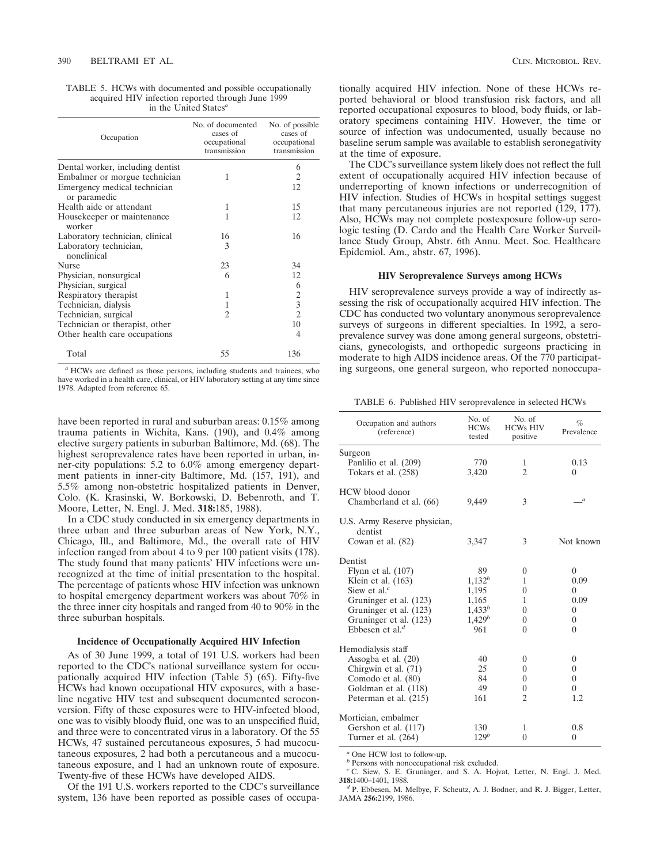TABLE 5. HCWs with documented and possible occupationally acquired HIV infection reported through June 1999 in the United States*<sup>a</sup>*

| Occupation                                                        | No. of documented<br>cases of<br>occupational<br>transmission | No. of possible<br>cases of<br>occupational<br>transmission |
|-------------------------------------------------------------------|---------------------------------------------------------------|-------------------------------------------------------------|
| Dental worker, including dentist<br>Embalmer or morgue technician | 1                                                             | 6<br>2<br>12                                                |
| Emergency medical technician<br>or paramedic                      |                                                               |                                                             |
| Health aide or attendant                                          | 1                                                             | 15                                                          |
| Housekeeper or maintenance<br>worker                              | 1                                                             | 12                                                          |
| Laboratory technician, clinical                                   | 16                                                            | 16                                                          |
| Laboratory technician,<br>nonclinical                             | 3                                                             |                                                             |
| <b>Nurse</b>                                                      | 23                                                            | 34                                                          |
| Physician, nonsurgical                                            | 6                                                             | 12                                                          |
| Physician, surgical                                               |                                                               | 6                                                           |
| Respiratory therapist                                             | 1                                                             | 2                                                           |
| Technician, dialysis                                              | 1                                                             | $\overline{3}$                                              |
| Technician, surgical                                              | $\overline{c}$                                                | $\overline{2}$                                              |
| Technician or therapist, other                                    |                                                               | 10                                                          |
| Other health care occupations                                     |                                                               | 4                                                           |
| Total                                                             | 55                                                            | 136                                                         |

*<sup>a</sup>* HCWs are defined as those persons, including students and trainees, who have worked in a health care, clinical, or HIV laboratory setting at any time since 1978. Adapted from reference 65.

have been reported in rural and suburban areas: 0.15% among trauma patients in Wichita, Kans. (190), and 0.4% among elective surgery patients in suburban Baltimore, Md. (68). The highest seroprevalence rates have been reported in urban, inner-city populations: 5.2 to 6.0% among emergency department patients in inner-city Baltimore, Md. (157, 191), and 5.5% among non-obstetric hospitalized patients in Denver, Colo. (K. Krasinski, W. Borkowski, D. Bebenroth, and T. Moore, Letter, N. Engl. J. Med. **318:**185, 1988).

In a CDC study conducted in six emergency departments in three urban and three suburban areas of New York, N.Y., Chicago, Ill., and Baltimore, Md., the overall rate of HIV infection ranged from about 4 to 9 per 100 patient visits (178). The study found that many patients' HIV infections were unrecognized at the time of initial presentation to the hospital. The percentage of patients whose HIV infection was unknown to hospital emergency department workers was about 70% in the three inner city hospitals and ranged from 40 to 90% in the three suburban hospitals.

## **Incidence of Occupationally Acquired HIV Infection**

As of 30 June 1999, a total of 191 U.S. workers had been reported to the CDC's national surveillance system for occupationally acquired HIV infection (Table 5) (65). Fifty-five HCWs had known occupational HIV exposures, with a baseline negative HIV test and subsequent documented seroconversion. Fifty of these exposures were to HIV-infected blood, one was to visibly bloody fluid, one was to an unspecified fluid, and three were to concentrated virus in a laboratory. Of the 55 HCWs, 47 sustained percutaneous exposures, 5 had mucocutaneous exposures, 2 had both a percutaneous and a mucocutaneous exposure, and 1 had an unknown route of exposure. Twenty-five of these HCWs have developed AIDS.

Of the 191 U.S. workers reported to the CDC's surveillance system, 136 have been reported as possible cases of occupationally acquired HIV infection. None of these HCWs reported behavioral or blood transfusion risk factors, and all reported occupational exposures to blood, body fluids, or laboratory specimens containing HIV. However, the time or source of infection was undocumented, usually because no baseline serum sample was available to establish seronegativity at the time of exposure.

The CDC's surveillance system likely does not reflect the full extent of occupationally acquired HIV infection because of underreporting of known infections or underrecognition of HIV infection. Studies of HCWs in hospital settings suggest that many percutaneous injuries are not reported (129, 177). Also, HCWs may not complete postexposure follow-up serologic testing (D. Cardo and the Health Care Worker Surveillance Study Group, Abstr. 6th Annu. Meet. Soc. Healthcare Epidemiol. Am., abstr. 67, 1996).

## **HIV Seroprevalence Surveys among HCWs**

HIV seroprevalence surveys provide a way of indirectly assessing the risk of occupationally acquired HIV infection. The CDC has conducted two voluntary anonymous seroprevalence surveys of surgeons in different specialties. In 1992, a seroprevalence survey was done among general surgeons, obstetricians, gynecologists, and orthopedic surgeons practicing in moderate to high AIDS incidence areas. Of the 770 participating surgeons, one general surgeon, who reported nonoccupa-

TABLE 6. Published HIV seroprevalence in selected HCWs

| Occupation and authors<br>(reference)   | No. of<br><b>HCWs</b><br>tested | No. of<br><b>HCWs HIV</b><br>positive | $\%$<br>Prevalence |
|-----------------------------------------|---------------------------------|---------------------------------------|--------------------|
| Surgeon                                 |                                 |                                       |                    |
| Panlilio et al. (209)                   | 770                             | 1                                     | 0.13               |
| Tokars et al. (258)                     | 3,420                           | $\overline{c}$                        | $\Omega$           |
| HCW blood donor                         |                                 |                                       |                    |
| Chamberland et al. (66)                 | 9.449                           | 3                                     | $\overline{a}$     |
| U.S. Army Reserve physician,<br>dentist |                                 |                                       |                    |
| Cowan et al. (82)                       | 3,347                           | 3                                     | Not known          |
| Dentist                                 |                                 |                                       |                    |
| Flynn et al. $(107)$                    | 89                              | 0                                     | $\theta$           |
| Klein et al. (163)                      | $1,132^b$                       | 1                                     | 0.09               |
| Siew et al. <sup><math>c</math></sup>   | 1,195                           | $\theta$                              | $\theta$           |
| Gruninger et al. (123)                  | 1,165                           | 1                                     | 0.09               |
| Gruninger et al. (123)                  | $1,433^b$                       | $\theta$                              | 0                  |
| Gruninger et al. (123)                  | 1,429 <sup>b</sup>              | $\theta$                              | $\theta$           |
| Ebbesen et al. <sup><i>d</i></sup>      | 961                             | $\theta$                              | $\theta$           |
| Hemodialysis staff                      |                                 |                                       |                    |
| Assogba et al. (20)                     | 40                              | $\overline{0}$                        | $\theta$           |
| Chirgwin et al. (71)                    | 25                              | $\theta$                              | $\theta$           |
| Comodo et al. (80)                      | 84                              | $\theta$                              | $\theta$           |
| Goldman et al. (118)                    | 49                              | $\theta$                              | $\theta$           |
| Peterman et al. (215)                   | 161                             | $\overline{c}$                        | 1.2                |
| Mortician, embalmer                     |                                 |                                       |                    |
| Gershon et al. (117)                    | 130                             | 1                                     | 0.8                |
| Turner et al. (264)                     | $129^{b}$                       | $\theta$                              | $\theta$           |

*<sup>a</sup>* One HCW lost to follow-up.

*b* Persons with nonoccupational risk excluded.

*<sup>c</sup>* C. Siew, S. E. Gruninger, and S. A. Hojvat, Letter, N. Engl. J. Med.

<sup>d</sup> P. Ebbesen, M. Melbye, F. Scheutz, A. J. Bodner, and R. J. Bigger, Letter, JAMA **256:**2199, 1986.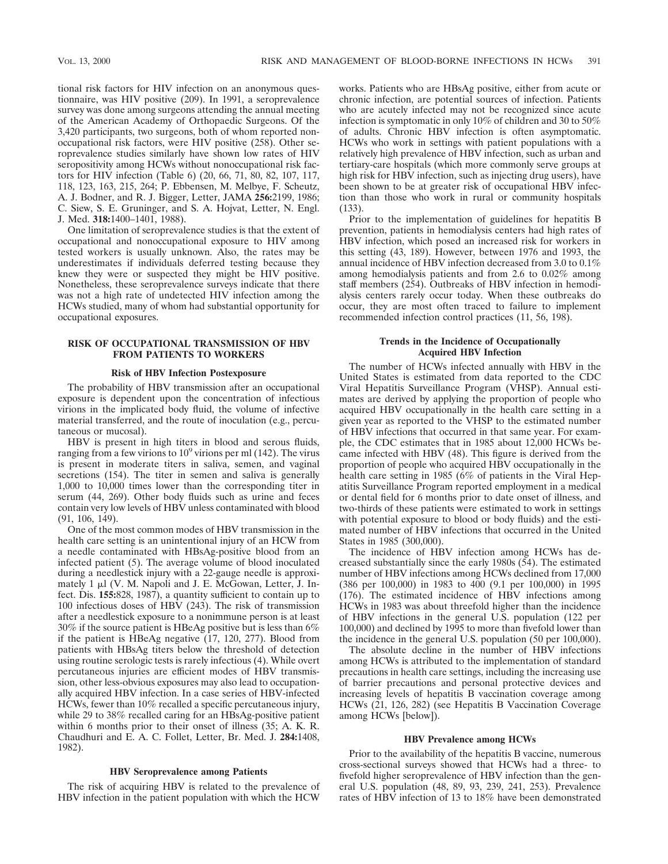tional risk factors for HIV infection on an anonymous questionnaire, was HIV positive (209). In 1991, a seroprevalence survey was done among surgeons attending the annual meeting of the American Academy of Orthopaedic Surgeons. Of the 3,420 participants, two surgeons, both of whom reported nonoccupational risk factors, were HIV positive (258). Other seroprevalence studies similarly have shown low rates of HIV seropositivity among HCWs without nonoccupational risk factors for HIV infection (Table 6) (20, 66, 71, 80, 82, 107, 117, 118, 123, 163, 215, 264; P. Ebbensen, M. Melbye, F. Scheutz, A. J. Bodner, and R. J. Bigger, Letter, JAMA **256:**2199, 1986; C. Siew, S. E. Gruninger, and S. A. Hojvat, Letter, N. Engl. J. Med. **318:**1400–1401, 1988).

One limitation of seroprevalence studies is that the extent of occupational and nonoccupational exposure to HIV among tested workers is usually unknown. Also, the rates may be underestimates if individuals deferred testing because they knew they were or suspected they might be HIV positive. Nonetheless, these seroprevalence surveys indicate that there was not a high rate of undetected HIV infection among the HCWs studied, many of whom had substantial opportunity for occupational exposures.

# **RISK OF OCCUPATIONAL TRANSMISSION OF HBV FROM PATIENTS TO WORKERS**

## **Risk of HBV Infection Postexposure**

The probability of HBV transmission after an occupational exposure is dependent upon the concentration of infectious virions in the implicated body fluid, the volume of infective material transferred, and the route of inoculation (e.g., percutaneous or mucosal).

HBV is present in high titers in blood and serous fluids, ranging from a few virions to  $10^9$  virions per ml (142). The virus is present in moderate titers in saliva, semen, and vaginal secretions (154). The titer in semen and saliva is generally 1,000 to 10,000 times lower than the corresponding titer in serum (44, 269). Other body fluids such as urine and feces contain very low levels of HBV unless contaminated with blood (91, 106, 149).

One of the most common modes of HBV transmission in the health care setting is an unintentional injury of an HCW from a needle contaminated with HBsAg-positive blood from an infected patient (5). The average volume of blood inoculated during a needlestick injury with a 22-gauge needle is approximately  $1 \mu$ l (V. M. Napoli and J. E. McGowan, Letter, J. Infect. Dis. **155:**828, 1987), a quantity sufficient to contain up to 100 infectious doses of HBV (243). The risk of transmission after a needlestick exposure to a nonimmune person is at least 30% if the source patient is HBeAg positive but is less than 6% if the patient is HBeAg negative  $(17, 120, 277)$ . Blood from patients with HBsAg titers below the threshold of detection using routine serologic tests is rarely infectious (4). While overt percutaneous injuries are efficient modes of HBV transmission, other less-obvious exposures may also lead to occupationally acquired HBV infection. In a case series of HBV-infected HCWs, fewer than 10% recalled a specific percutaneous injury, while 29 to 38% recalled caring for an HBsAg-positive patient within 6 months prior to their onset of illness (35; A. K. R. Chaudhuri and E. A. C. Follet, Letter, Br. Med. J. **284:**1408, 1982).

## **HBV Seroprevalence among Patients**

The risk of acquiring HBV is related to the prevalence of HBV infection in the patient population with which the HCW works. Patients who are HBsAg positive, either from acute or chronic infection, are potential sources of infection. Patients who are acutely infected may not be recognized since acute infection is symptomatic in only 10% of children and 30 to 50% of adults. Chronic HBV infection is often asymptomatic. HCWs who work in settings with patient populations with a relatively high prevalence of HBV infection, such as urban and tertiary-care hospitals (which more commonly serve groups at high risk for HBV infection, such as injecting drug users), have been shown to be at greater risk of occupational HBV infection than those who work in rural or community hospitals (133).

Prior to the implementation of guidelines for hepatitis B prevention, patients in hemodialysis centers had high rates of HBV infection, which posed an increased risk for workers in this setting (43, 189). However, between 1976 and 1993, the annual incidence of HBV infection decreased from 3.0 to 0.1% among hemodialysis patients and from 2.6 to 0.02% among staff members (254). Outbreaks of HBV infection in hemodialysis centers rarely occur today. When these outbreaks do occur, they are most often traced to failure to implement recommended infection control practices (11, 56, 198).

# **Trends in the Incidence of Occupationally Acquired HBV Infection**

The number of HCWs infected annually with HBV in the United States is estimated from data reported to the CDC Viral Hepatitis Surveillance Program (VHSP). Annual estimates are derived by applying the proportion of people who acquired HBV occupationally in the health care setting in a given year as reported to the VHSP to the estimated number of HBV infections that occurred in that same year. For example, the CDC estimates that in 1985 about 12,000 HCWs became infected with HBV (48). This figure is derived from the proportion of people who acquired HBV occupationally in the health care setting in 1985 (6% of patients in the Viral Hepatitis Surveillance Program reported employment in a medical or dental field for 6 months prior to date onset of illness, and two-thirds of these patients were estimated to work in settings with potential exposure to blood or body fluids) and the estimated number of HBV infections that occurred in the United States in 1985 (300,000).

The incidence of HBV infection among HCWs has decreased substantially since the early 1980s (54). The estimated number of HBV infections among HCWs declined from 17,000 (386 per 100,000) in 1983 to 400 (9.1 per 100,000) in 1995 (176). The estimated incidence of HBV infections among HCWs in 1983 was about threefold higher than the incidence of HBV infections in the general U.S. population (122 per 100,000) and declined by 1995 to more than fivefold lower than the incidence in the general U.S. population (50 per 100,000).

The absolute decline in the number of HBV infections among HCWs is attributed to the implementation of standard precautions in health care settings, including the increasing use of barrier precautions and personal protective devices and increasing levels of hepatitis B vaccination coverage among HCWs (21, 126, 282) (see Hepatitis B Vaccination Coverage among HCWs [below]).

## **HBV Prevalence among HCWs**

Prior to the availability of the hepatitis B vaccine, numerous cross-sectional surveys showed that HCWs had a three- to fivefold higher seroprevalence of HBV infection than the general U.S. population (48, 89, 93, 239, 241, 253). Prevalence rates of HBV infection of 13 to 18% have been demonstrated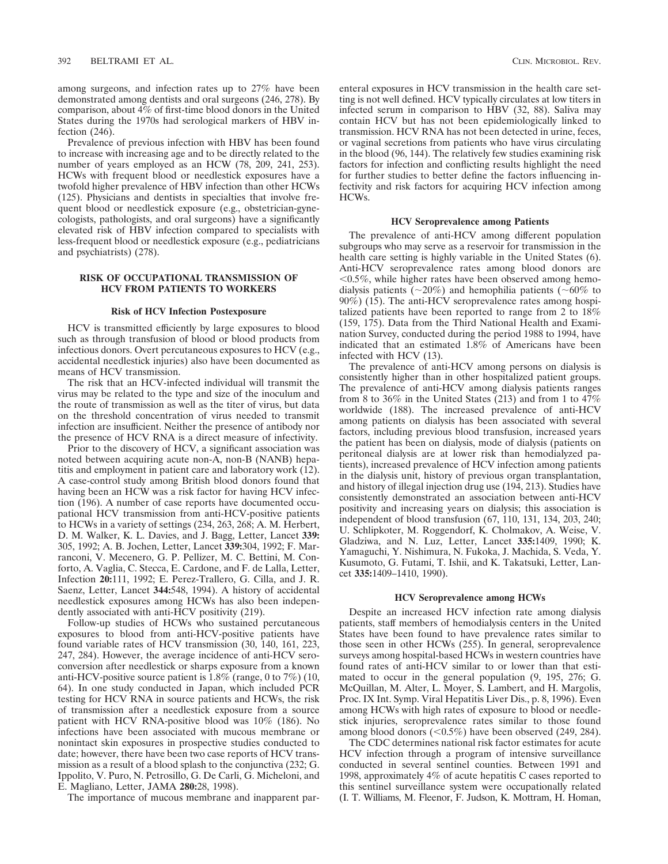among surgeons, and infection rates up to 27% have been demonstrated among dentists and oral surgeons (246, 278). By comparison, about 4% of first-time blood donors in the United States during the 1970s had serological markers of HBV infection (246).

Prevalence of previous infection with HBV has been found to increase with increasing age and to be directly related to the number of years employed as an HCW (78, 209, 241, 253). HCWs with frequent blood or needlestick exposures have a twofold higher prevalence of HBV infection than other HCWs (125). Physicians and dentists in specialties that involve frequent blood or needlestick exposure (e.g., obstetrician-gynecologists, pathologists, and oral surgeons) have a significantly elevated risk of HBV infection compared to specialists with less-frequent blood or needlestick exposure (e.g., pediatricians and psychiatrists) (278).

# **RISK OF OCCUPATIONAL TRANSMISSION OF HCV FROM PATIENTS TO WORKERS**

## **Risk of HCV Infection Postexposure**

HCV is transmitted efficiently by large exposures to blood such as through transfusion of blood or blood products from infectious donors. Overt percutaneous exposures to HCV (e.g., accidental needlestick injuries) also have been documented as means of HCV transmission.

The risk that an HCV-infected individual will transmit the virus may be related to the type and size of the inoculum and the route of transmission as well as the titer of virus, but data on the threshold concentration of virus needed to transmit infection are insufficient. Neither the presence of antibody nor the presence of HCV RNA is a direct measure of infectivity.

Prior to the discovery of HCV, a significant association was noted between acquiring acute non-A, non-B (NANB) hepatitis and employment in patient care and laboratory work (12). A case-control study among British blood donors found that having been an HCW was a risk factor for having HCV infection (196). A number of case reports have documented occupational HCV transmission from anti-HCV-positive patients to HCWs in a variety of settings (234, 263, 268; A. M. Herbert, D. M. Walker, K. L. Davies, and J. Bagg, Letter, Lancet **339:** 305, 1992; A. B. Jochen, Letter, Lancet **339:**304, 1992; F. Marranconi, V. Mecenero, G. P. Pellizer, M. C. Bettini, M. Conforto, A. Vaglia, C. Stecca, E. Cardone, and F. de Lalla, Letter, Infection **20:**111, 1992; E. Perez-Trallero, G. Cilla, and J. R. Saenz, Letter, Lancet **344:**548, 1994). A history of accidental needlestick exposures among HCWs has also been independently associated with anti-HCV positivity (219).

Follow-up studies of HCWs who sustained percutaneous exposures to blood from anti-HCV-positive patients have found variable rates of HCV transmission (30, 140, 161, 223, 247, 284). However, the average incidence of anti-HCV seroconversion after needlestick or sharps exposure from a known anti-HCV-positive source patient is 1.8% (range, 0 to 7%) (10, 64). In one study conducted in Japan, which included PCR testing for HCV RNA in source patients and HCWs, the risk of transmission after a needlestick exposure from a source patient with HCV RNA-positive blood was 10% (186). No infections have been associated with mucous membrane or nonintact skin exposures in prospective studies conducted to date; however, there have been two case reports of HCV transmission as a result of a blood splash to the conjunctiva (232; G. Ippolito, V. Puro, N. Petrosillo, G. De Carli, G. Micheloni, and E. Magliano, Letter, JAMA **280:**28, 1998).

The importance of mucous membrane and inapparent par-

enteral exposures in HCV transmission in the health care setting is not well defined. HCV typically circulates at low titers in infected serum in comparison to HBV (32, 88). Saliva may contain HCV but has not been epidemiologically linked to transmission. HCV RNA has not been detected in urine, feces, or vaginal secretions from patients who have virus circulating in the blood (96, 144). The relatively few studies examining risk factors for infection and conflicting results highlight the need for further studies to better define the factors influencing infectivity and risk factors for acquiring HCV infection among HCWs.

## **HCV Seroprevalence among Patients**

The prevalence of anti-HCV among different population subgroups who may serve as a reservoir for transmission in the health care setting is highly variable in the United States (6). Anti-HCV seroprevalence rates among blood donors are  $<$ 0.5%, while higher rates have been observed among hemodialysis patients  $\sqrt{-20\%}$  and hemophilia patients ( $\sim 60\%$  to 90%) (15). The anti-HCV seroprevalence rates among hospitalized patients have been reported to range from 2 to 18% (159, 175). Data from the Third National Health and Examination Survey, conducted during the period 1988 to 1994, have indicated that an estimated 1.8% of Americans have been infected with HCV (13).

The prevalence of anti-HCV among persons on dialysis is consistently higher than in other hospitalized patient groups. The prevalence of anti-HCV among dialysis patients ranges from 8 to 36% in the United States (213) and from 1 to 47% worldwide (188). The increased prevalence of anti-HCV among patients on dialysis has been associated with several factors, including previous blood transfusion, increased years the patient has been on dialysis, mode of dialysis (patients on peritoneal dialysis are at lower risk than hemodialyzed patients), increased prevalence of HCV infection among patients in the dialysis unit, history of previous organ transplantation, and history of illegal injection drug use (194, 213). Studies have consistently demonstrated an association between anti-HCV positivity and increasing years on dialysis; this association is independent of blood transfusion (67, 110, 131, 134, 203, 240; U. Schlipkoter, M. Roggendorf, K. Cholmakov, A. Weise, V. Gladziwa, and N. Luz, Letter, Lancet **335:**1409, 1990; K. Yamaguchi, Y. Nishimura, N. Fukoka, J. Machida, S. Veda, Y. Kusumoto, G. Futami, T. Ishii, and K. Takatsuki, Letter, Lancet **335:**1409–1410, 1990).

## **HCV Seroprevalence among HCWs**

Despite an increased HCV infection rate among dialysis patients, staff members of hemodialysis centers in the United States have been found to have prevalence rates similar to those seen in other HCWs (255). In general, seroprevalence surveys among hospital-based HCWs in western countries have found rates of anti-HCV similar to or lower than that estimated to occur in the general population (9, 195, 276; G. McQuillan, M. Alter, L. Moyer, S. Lambert, and H. Margolis, Proc. IX Int. Symp. Viral Hepatitis Liver Dis., p. 8, 1996). Even among HCWs with high rates of exposure to blood or needlestick injuries, seroprevalence rates similar to those found among blood donors  $(<0.5\%)$  have been observed (249, 284).

The CDC determines national risk factor estimates for acute HCV infection through a program of intensive surveillance conducted in several sentinel counties. Between 1991 and 1998, approximately 4% of acute hepatitis C cases reported to this sentinel surveillance system were occupationally related (I. T. Williams, M. Fleenor, F. Judson, K. Mottram, H. Homan,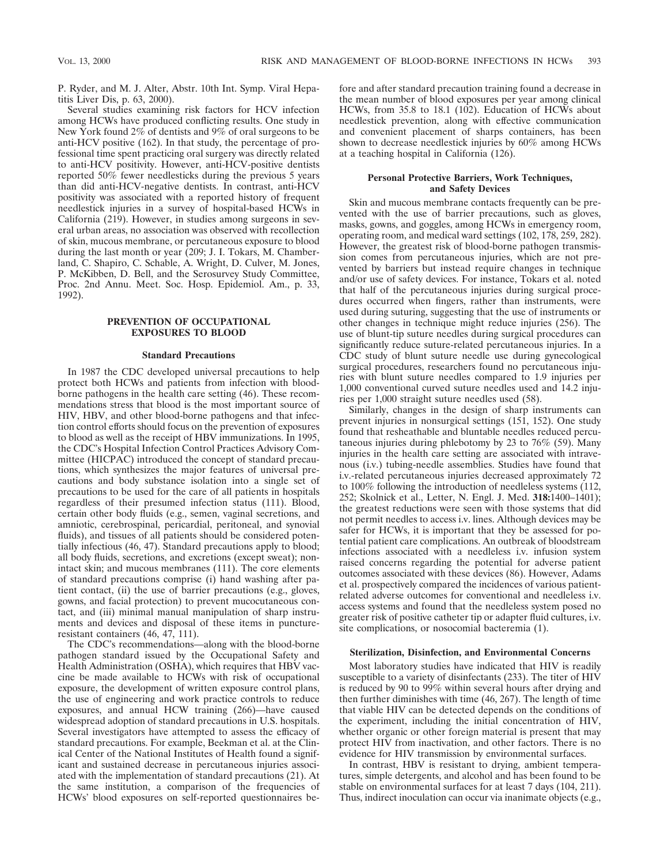P. Ryder, and M. J. Alter, Abstr. 10th Int. Symp. Viral Hepatitis Liver Dis, p. 63, 2000).

Several studies examining risk factors for HCV infection among HCWs have produced conflicting results. One study in New York found 2% of dentists and 9% of oral surgeons to be anti-HCV positive (162). In that study, the percentage of professional time spent practicing oral surgery was directly related to anti-HCV positivity. However, anti-HCV-positive dentists reported 50% fewer needlesticks during the previous 5 years than did anti-HCV-negative dentists. In contrast, anti-HCV positivity was associated with a reported history of frequent needlestick injuries in a survey of hospital-based HCWs in California (219). However, in studies among surgeons in several urban areas, no association was observed with recollection of skin, mucous membrane, or percutaneous exposure to blood during the last month or year (209; J. I. Tokars, M. Chamberland, C. Shapiro, C. Schable, A. Wright, D. Culver, M. Jones, P. McKibben, D. Bell, and the Serosurvey Study Committee, Proc. 2nd Annu. Meet. Soc. Hosp. Epidemiol. Am., p. 33, 1992).

# **PREVENTION OF OCCUPATIONAL EXPOSURES TO BLOOD**

# **Standard Precautions**

In 1987 the CDC developed universal precautions to help protect both HCWs and patients from infection with bloodborne pathogens in the health care setting (46). These recommendations stress that blood is the most important source of HIV, HBV, and other blood-borne pathogens and that infection control efforts should focus on the prevention of exposures to blood as well as the receipt of HBV immunizations. In 1995, the CDC's Hospital Infection Control Practices Advisory Committee (HICPAC) introduced the concept of standard precautions, which synthesizes the major features of universal precautions and body substance isolation into a single set of precautions to be used for the care of all patients in hospitals regardless of their presumed infection status (111). Blood, certain other body fluids (e.g., semen, vaginal secretions, and amniotic, cerebrospinal, pericardial, peritoneal, and synovial fluids), and tissues of all patients should be considered potentially infectious (46, 47). Standard precautions apply to blood; all body fluids, secretions, and excretions (except sweat); nonintact skin; and mucous membranes (111). The core elements of standard precautions comprise (i) hand washing after patient contact, (ii) the use of barrier precautions (e.g., gloves, gowns, and facial protection) to prevent mucocutaneous contact, and (iii) minimal manual manipulation of sharp instruments and devices and disposal of these items in punctureresistant containers (46, 47, 111).

The CDC's recommendations—along with the blood-borne pathogen standard issued by the Occupational Safety and Health Administration (OSHA), which requires that HBV vaccine be made available to HCWs with risk of occupational exposure, the development of written exposure control plans, the use of engineering and work practice controls to reduce exposures, and annual HCW training (266)—have caused widespread adoption of standard precautions in U.S. hospitals. Several investigators have attempted to assess the efficacy of standard precautions. For example, Beekman et al. at the Clinical Center of the National Institutes of Health found a significant and sustained decrease in percutaneous injuries associated with the implementation of standard precautions (21). At the same institution, a comparison of the frequencies of HCWs' blood exposures on self-reported questionnaires before and after standard precaution training found a decrease in the mean number of blood exposures per year among clinical HCWs, from 35.8 to 18.1 (102). Education of HCWs about needlestick prevention, along with effective communication and convenient placement of sharps containers, has been shown to decrease needlestick injuries by 60% among HCWs at a teaching hospital in California (126).

# **Personal Protective Barriers, Work Techniques, and Safety Devices**

Skin and mucous membrane contacts frequently can be prevented with the use of barrier precautions, such as gloves, masks, gowns, and goggles, among HCWs in emergency room, operating room, and medical ward settings (102, 178, 259, 282). However, the greatest risk of blood-borne pathogen transmission comes from percutaneous injuries, which are not prevented by barriers but instead require changes in technique and/or use of safety devices. For instance, Tokars et al. noted that half of the percutaneous injuries during surgical procedures occurred when fingers, rather than instruments, were used during suturing, suggesting that the use of instruments or other changes in technique might reduce injuries (256). The use of blunt-tip suture needles during surgical procedures can significantly reduce suture-related percutaneous injuries. In a CDC study of blunt suture needle use during gynecological surgical procedures, researchers found no percutaneous injuries with blunt suture needles compared to 1.9 injuries per 1,000 conventional curved suture needles used and 14.2 injuries per 1,000 straight suture needles used (58).

Similarly, changes in the design of sharp instruments can prevent injuries in nonsurgical settings (151, 152). One study found that resheathable and bluntable needles reduced percutaneous injuries during phlebotomy by 23 to 76% (59). Many injuries in the health care setting are associated with intravenous (i.v.) tubing-needle assemblies. Studies have found that i.v.-related percutaneous injuries decreased approximately 72 to 100% following the introduction of needleless systems (112, 252; Skolnick et al., Letter, N. Engl. J. Med. **318:**1400–1401); the greatest reductions were seen with those systems that did not permit needles to access i.v. lines. Although devices may be safer for HCWs, it is important that they be assessed for potential patient care complications. An outbreak of bloodstream infections associated with a needleless i.v. infusion system raised concerns regarding the potential for adverse patient outcomes associated with these devices (86). However, Adams et al. prospectively compared the incidences of various patientrelated adverse outcomes for conventional and needleless i.v. access systems and found that the needleless system posed no greater risk of positive catheter tip or adapter fluid cultures, i.v. site complications, or nosocomial bacteremia (1).

## **Sterilization, Disinfection, and Environmental Concerns**

Most laboratory studies have indicated that HIV is readily susceptible to a variety of disinfectants (233). The titer of HIV is reduced by 90 to 99% within several hours after drying and then further diminishes with time (46, 267). The length of time that viable HIV can be detected depends on the conditions of the experiment, including the initial concentration of HIV, whether organic or other foreign material is present that may protect HIV from inactivation, and other factors. There is no evidence for HIV transmission by environmental surfaces.

In contrast, HBV is resistant to drying, ambient temperatures, simple detergents, and alcohol and has been found to be stable on environmental surfaces for at least 7 days (104, 211). Thus, indirect inoculation can occur via inanimate objects (e.g.,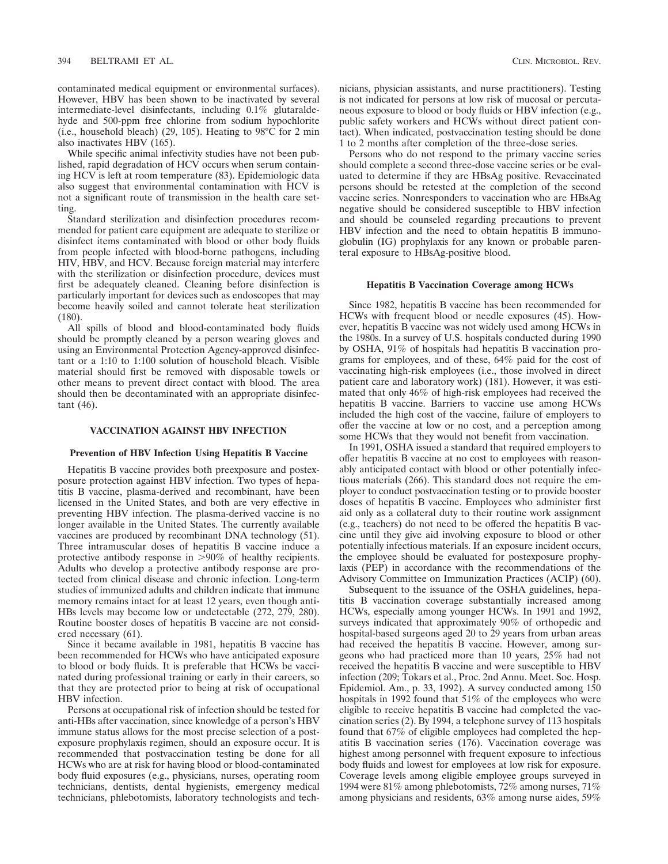contaminated medical equipment or environmental surfaces). However, HBV has been shown to be inactivated by several intermediate-level disinfectants, including 0.1% glutaraldehyde and 500-ppm free chlorine from sodium hypochlorite (i.e., household bleach) (29, 105). Heating to 98°C for 2 min also inactivates HBV (165).

While specific animal infectivity studies have not been published, rapid degradation of HCV occurs when serum containing HCV is left at room temperature (83). Epidemiologic data also suggest that environmental contamination with HCV is not a significant route of transmission in the health care setting.

Standard sterilization and disinfection procedures recommended for patient care equipment are adequate to sterilize or disinfect items contaminated with blood or other body fluids from people infected with blood-borne pathogens, including HIV, HBV, and HCV. Because foreign material may interfere with the sterilization or disinfection procedure, devices must first be adequately cleaned. Cleaning before disinfection is particularly important for devices such as endoscopes that may become heavily soiled and cannot tolerate heat sterilization (180).

All spills of blood and blood-contaminated body fluids should be promptly cleaned by a person wearing gloves and using an Environmental Protection Agency-approved disinfectant or a 1:10 to 1:100 solution of household bleach. Visible material should first be removed with disposable towels or other means to prevent direct contact with blood. The area should then be decontaminated with an appropriate disinfectant (46).

## **VACCINATION AGAINST HBV INFECTION**

## **Prevention of HBV Infection Using Hepatitis B Vaccine**

Hepatitis B vaccine provides both preexposure and postexposure protection against HBV infection. Two types of hepatitis B vaccine, plasma-derived and recombinant, have been licensed in the United States, and both are very effective in preventing HBV infection. The plasma-derived vaccine is no longer available in the United States. The currently available vaccines are produced by recombinant DNA technology (51). Three intramuscular doses of hepatitis B vaccine induce a protective antibody response in  $>90\%$  of healthy recipients. Adults who develop a protective antibody response are protected from clinical disease and chronic infection. Long-term studies of immunized adults and children indicate that immune memory remains intact for at least 12 years, even though anti-HBs levels may become low or undetectable (272, 279, 280). Routine booster doses of hepatitis B vaccine are not considered necessary (61).

Since it became available in 1981, hepatitis B vaccine has been recommended for HCWs who have anticipated exposure to blood or body fluids. It is preferable that HCWs be vaccinated during professional training or early in their careers, so that they are protected prior to being at risk of occupational HBV infection.

Persons at occupational risk of infection should be tested for anti-HBs after vaccination, since knowledge of a person's HBV immune status allows for the most precise selection of a postexposure prophylaxis regimen, should an exposure occur. It is recommended that postvaccination testing be done for all HCWs who are at risk for having blood or blood-contaminated body fluid exposures (e.g., physicians, nurses, operating room technicians, dentists, dental hygienists, emergency medical technicians, phlebotomists, laboratory technologists and technicians, physician assistants, and nurse practitioners). Testing is not indicated for persons at low risk of mucosal or percutaneous exposure to blood or body fluids or HBV infection (e.g., public safety workers and HCWs without direct patient contact). When indicated, postvaccination testing should be done 1 to 2 months after completion of the three-dose series.

Persons who do not respond to the primary vaccine series should complete a second three-dose vaccine series or be evaluated to determine if they are HBsAg positive. Revaccinated persons should be retested at the completion of the second vaccine series. Nonresponders to vaccination who are HBsAg negative should be considered susceptible to HBV infection and should be counseled regarding precautions to prevent HBV infection and the need to obtain hepatitis B immunoglobulin (IG) prophylaxis for any known or probable parenteral exposure to HBsAg-positive blood.

## **Hepatitis B Vaccination Coverage among HCWs**

Since 1982, hepatitis B vaccine has been recommended for HCWs with frequent blood or needle exposures (45). However, hepatitis B vaccine was not widely used among HCWs in the 1980s. In a survey of U.S. hospitals conducted during 1990 by OSHA, 91% of hospitals had hepatitis B vaccination programs for employees, and of these, 64% paid for the cost of vaccinating high-risk employees (i.e., those involved in direct patient care and laboratory work) (181). However, it was estimated that only 46% of high-risk employees had received the hepatitis B vaccine. Barriers to vaccine use among HCWs included the high cost of the vaccine, failure of employers to offer the vaccine at low or no cost, and a perception among some HCWs that they would not benefit from vaccination.

In 1991, OSHA issued a standard that required employers to offer hepatitis B vaccine at no cost to employees with reasonably anticipated contact with blood or other potentially infectious materials (266). This standard does not require the employer to conduct postvaccination testing or to provide booster doses of hepatitis B vaccine. Employees who administer first aid only as a collateral duty to their routine work assignment (e.g., teachers) do not need to be offered the hepatitis B vaccine until they give aid involving exposure to blood or other potentially infectious materials. If an exposure incident occurs, the employee should be evaluated for postexposure prophylaxis (PEP) in accordance with the recommendations of the Advisory Committee on Immunization Practices (ACIP) (60).

Subsequent to the issuance of the OSHA guidelines, hepatitis B vaccination coverage substantially increased among HCWs, especially among younger HCWs. In 1991 and 1992, surveys indicated that approximately 90% of orthopedic and hospital-based surgeons aged 20 to 29 years from urban areas had received the hepatitis B vaccine. However, among surgeons who had practiced more than 10 years, 25% had not received the hepatitis B vaccine and were susceptible to HBV infection (209; Tokars et al., Proc. 2nd Annu. Meet. Soc. Hosp. Epidemiol. Am., p. 33, 1992). A survey conducted among 150 hospitals in 1992 found that 51% of the employees who were eligible to receive hepatitis B vaccine had completed the vaccination series (2). By 1994, a telephone survey of 113 hospitals found that 67% of eligible employees had completed the hepatitis B vaccination series (176). Vaccination coverage was highest among personnel with frequent exposure to infectious body fluids and lowest for employees at low risk for exposure. Coverage levels among eligible employee groups surveyed in 1994 were 81% among phlebotomists, 72% among nurses, 71% among physicians and residents, 63% among nurse aides, 59%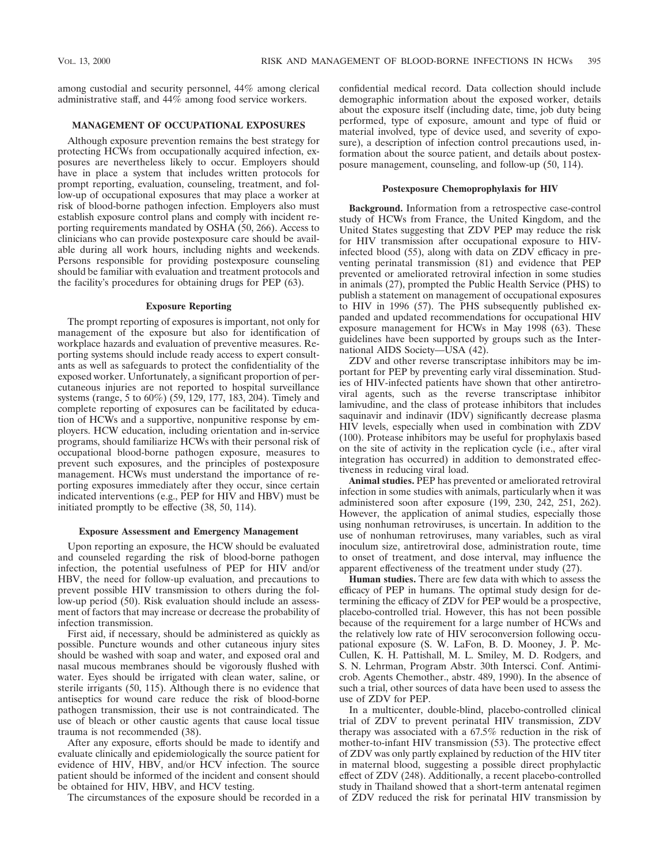among custodial and security personnel, 44% among clerical administrative staff, and 44% among food service workers.

# **MANAGEMENT OF OCCUPATIONAL EXPOSURES**

Although exposure prevention remains the best strategy for protecting HCWs from occupationally acquired infection, exposures are nevertheless likely to occur. Employers should have in place a system that includes written protocols for prompt reporting, evaluation, counseling, treatment, and follow-up of occupational exposures that may place a worker at risk of blood-borne pathogen infection. Employers also must establish exposure control plans and comply with incident reporting requirements mandated by OSHA (50, 266). Access to clinicians who can provide postexposure care should be available during all work hours, including nights and weekends. Persons responsible for providing postexposure counseling should be familiar with evaluation and treatment protocols and the facility's procedures for obtaining drugs for PEP (63).

# **Exposure Reporting**

The prompt reporting of exposures is important, not only for management of the exposure but also for identification of workplace hazards and evaluation of preventive measures. Reporting systems should include ready access to expert consultants as well as safeguards to protect the confidentiality of the exposed worker. Unfortunately, a significant proportion of percutaneous injuries are not reported to hospital surveillance systems (range, 5 to 60%) (59, 129, 177, 183, 204). Timely and complete reporting of exposures can be facilitated by education of HCWs and a supportive, nonpunitive response by employers. HCW education, including orientation and in-service programs, should familiarize HCWs with their personal risk of occupational blood-borne pathogen exposure, measures to prevent such exposures, and the principles of postexposure management. HCWs must understand the importance of reporting exposures immediately after they occur, since certain indicated interventions (e.g., PEP for HIV and HBV) must be initiated promptly to be effective (38, 50, 114).

## **Exposure Assessment and Emergency Management**

Upon reporting an exposure, the HCW should be evaluated and counseled regarding the risk of blood-borne pathogen infection, the potential usefulness of PEP for HIV and/or HBV, the need for follow-up evaluation, and precautions to prevent possible HIV transmission to others during the follow-up period (50). Risk evaluation should include an assessment of factors that may increase or decrease the probability of infection transmission.

First aid, if necessary, should be administered as quickly as possible. Puncture wounds and other cutaneous injury sites should be washed with soap and water, and exposed oral and nasal mucous membranes should be vigorously flushed with water. Eyes should be irrigated with clean water, saline, or sterile irrigants (50, 115). Although there is no evidence that antiseptics for wound care reduce the risk of blood-borne pathogen transmission, their use is not contraindicated. The use of bleach or other caustic agents that cause local tissue trauma is not recommended (38).

After any exposure, efforts should be made to identify and evaluate clinically and epidemiologically the source patient for evidence of HIV, HBV, and/or HCV infection. The source patient should be informed of the incident and consent should be obtained for HIV, HBV, and HCV testing.

The circumstances of the exposure should be recorded in a

confidential medical record. Data collection should include demographic information about the exposed worker, details about the exposure itself (including date, time, job duty being performed, type of exposure, amount and type of fluid or material involved, type of device used, and severity of exposure), a description of infection control precautions used, information about the source patient, and details about postexposure management, counseling, and follow-up (50, 114).

#### **Postexposure Chemoprophylaxis for HIV**

**Background.** Information from a retrospective case-control study of HCWs from France, the United Kingdom, and the United States suggesting that ZDV PEP may reduce the risk for HIV transmission after occupational exposure to HIVinfected blood (55), along with data on ZDV efficacy in preventing perinatal transmission (81) and evidence that PEP prevented or ameliorated retroviral infection in some studies in animals (27), prompted the Public Health Service (PHS) to publish a statement on management of occupational exposures to HIV in 1996 (57). The PHS subsequently published expanded and updated recommendations for occupational HIV exposure management for HCWs in May 1998 (63). These guidelines have been supported by groups such as the International AIDS Society—USA (42).

ZDV and other reverse transcriptase inhibitors may be important for PEP by preventing early viral dissemination. Studies of HIV-infected patients have shown that other antiretroviral agents, such as the reverse transcriptase inhibitor lamivudine, and the class of protease inhibitors that includes saquinavir and indinavir (IDV) significantly decrease plasma HIV levels, especially when used in combination with ZDV (100). Protease inhibitors may be useful for prophylaxis based on the site of activity in the replication cycle (i.e., after viral integration has occurred) in addition to demonstrated effectiveness in reducing viral load.

**Animal studies.** PEP has prevented or ameliorated retroviral infection in some studies with animals, particularly when it was administered soon after exposure (199, 230, 242, 251, 262). However, the application of animal studies, especially those using nonhuman retroviruses, is uncertain. In addition to the use of nonhuman retroviruses, many variables, such as viral inoculum size, antiretroviral dose, administration route, time to onset of treatment, and dose interval, may influence the apparent effectiveness of the treatment under study (27).

**Human studies.** There are few data with which to assess the efficacy of PEP in humans. The optimal study design for determining the efficacy of ZDV for PEP would be a prospective, placebo-controlled trial. However, this has not been possible because of the requirement for a large number of HCWs and the relatively low rate of HIV seroconversion following occupational exposure (S. W. LaFon, B. D. Mooney, J. P. Mc-Cullen, K. H. Pattishall, M. L. Smiley, M. D. Rodgers, and S. N. Lehrman, Program Abstr. 30th Intersci. Conf. Antimicrob. Agents Chemother., abstr. 489, 1990). In the absence of such a trial, other sources of data have been used to assess the use of ZDV for PEP.

In a multicenter, double-blind, placebo-controlled clinical trial of ZDV to prevent perinatal HIV transmission, ZDV therapy was associated with a 67.5% reduction in the risk of mother-to-infant HIV transmission (53). The protective effect of ZDV was only partly explained by reduction of the HIV titer in maternal blood, suggesting a possible direct prophylactic effect of ZDV (248). Additionally, a recent placebo-controlled study in Thailand showed that a short-term antenatal regimen of ZDV reduced the risk for perinatal HIV transmission by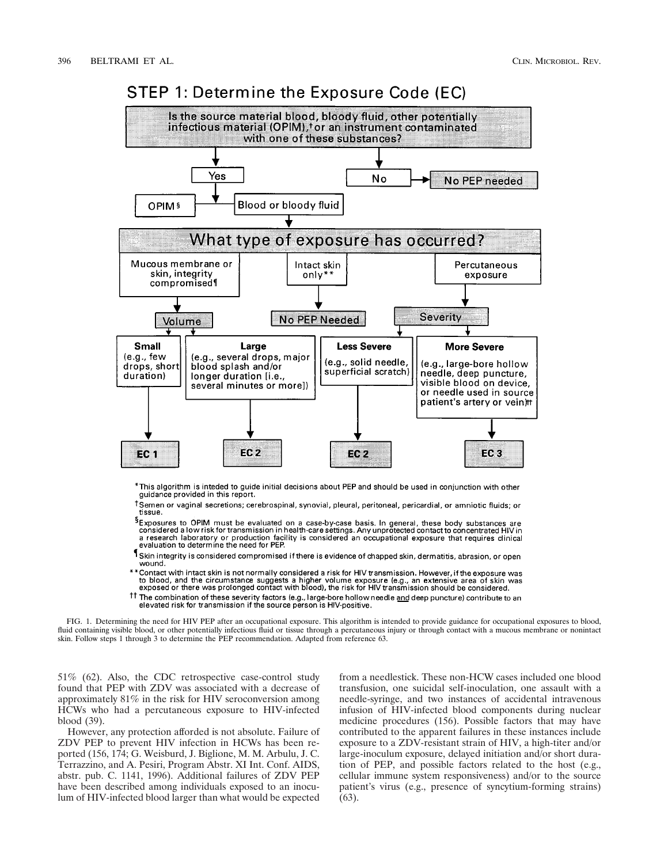

guidance provided in this report.

<sup>t</sup>Semen or vaginal secretions; cerebrospinal, synovial, pleural, peritoneal, pericardial, or amniotic fluids; or tissue.

s<br>Exposures to OPIM must be evaluated on a case-by-case basis. In general, these body substances are<br>considered a low risk for transmission in health-care settings. Any unprotected contact to concentrated HIV in considered a low risk for transmission in health-care settings. Any unprotected contact to concentrated HIV in<br>a research laboratory or production facility is considered an occupational exposure that requires clinical<br>eval

I Skin integrity is considered compromised if there is evidence of chapped skin, dermatitis, abrasion, or open wound.

Contact with intact skin is not normally considered a risk for HIV transmission. However, if the exposure was to blood, and the circumstance suggests a higher volume exposure (e.g., an extensive area of skin was exposed or there was prolonged contact with blood), the risk for HIV transmission should be considered.

<sup>11</sup> The combination of these severity factors (e.g., large-bore hollow needle and deep puncture) contribute to an elevated risk for transmission if the source person is HIV-positive.

FIG. 1. Determining the need for HIV PEP after an occupational exposure. This algorithm is intended to provide guidance for occupational exposures to blood, fluid containing visible blood, or other potentially infectious fluid or tissue through a percutaneous injury or through contact with a mucous membrane or nonintact skin. Follow steps 1 through 3 to determine the PEP recommendation. Adapted from reference 63.

51% (62). Also, the CDC retrospective case-control study found that PEP with ZDV was associated with a decrease of approximately 81% in the risk for HIV seroconversion among HCWs who had a percutaneous exposure to HIV-infected blood (39).

However, any protection afforded is not absolute. Failure of ZDV PEP to prevent HIV infection in HCWs has been reported (156, 174; G. Weisburd, J. Biglione, M. M. Arbulu, J. C. Terrazzino, and A. Pesiri, Program Abstr. XI Int. Conf. AIDS, abstr. pub. C. 1141, 1996). Additional failures of ZDV PEP have been described among individuals exposed to an inoculum of HIV-infected blood larger than what would be expected

from a needlestick. These non-HCW cases included one blood transfusion, one suicidal self-inoculation, one assault with a needle-syringe, and two instances of accidental intravenous infusion of HIV-infected blood components during nuclear medicine procedures (156). Possible factors that may have contributed to the apparent failures in these instances include exposure to a ZDV-resistant strain of HIV, a high-titer and/or large-inoculum exposure, delayed initiation and/or short duration of PEP, and possible factors related to the host (e.g., cellular immune system responsiveness) and/or to the source patient's virus (e.g., presence of syncytium-forming strains) (63).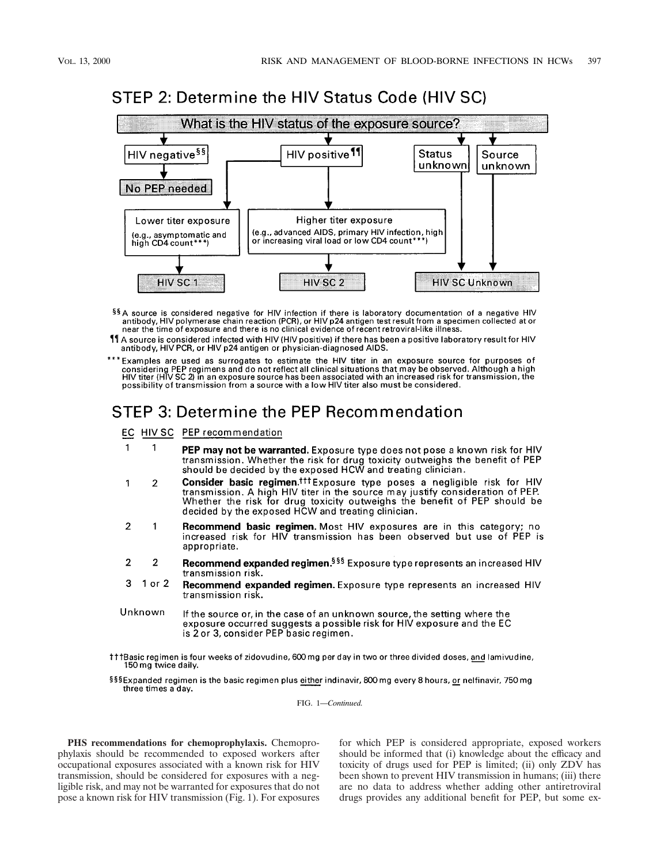# STEP 2: Determine the HIV Status Code (HIV SC)



- §§A source is considered negative for HIV infection if there is laboratory documentation of a negative HIV antibody, HIV polymerase chain reaction (PCR), or HIV p24 antigen test result from a specimen collected at or near the time of exposure and there is no clinical evidence of recent retroviral-like illness.
- 11 A source is considered infected with HIV (HIV positive) if there has been a positive laboratory result for HIV antibody, HIV PCR, or HIV p24 antigen or physician-diagnosed AIDS.
- \*\*\* Examples are used as surrogates to estimate the HIV titer in an exposure source for purposes of considering PEP regimens and do not reflect all clinical situations that may be observed. Although a high<br>HIV titer (HIV SC 2) in an exposure source has been associated with an increased risk for transmission, the possibility of transmission from a source with a low HIV titer also must be considered.

# STEP 3: Determine the PEP Recommendation

# EC HIV SC PEP recommendation

- $\mathbf{1}$  $\mathbf 1$ PEP may not be warranted. Exposure type does not pose a known risk for HIV transmission. Whether the risk for drug toxicity outweighs the benefit of PEP should be decided by the exposed HCW and treating clinician.
- Consider basic regimen.<sup>†††</sup>Exposure type poses a negligible risk for HIV 1  $\overline{2}$ transmission. A high HIV titer in the source may justify consideration of PEP.<br>Whether the risk for drug toxicity outweighs the benefit of PEP should be decided by the exposed HCW and treating clinician.
- Recommend basic regimen. Most HIV exposures are in this category; no  $\overline{\mathbf{c}}$ 1 increased risk for HIV transmission has been observed but use of PEP is appropriate.
- Recommend expanded regimen.<sup>§§§</sup> Exposure type represents an increased HIV 2 2 transmission risk.
- 3 1 or 2 Recommend expanded regimen. Exposure type represents an increased HIV transmission risk.
- Unknown If the source or, in the case of an unknown source, the setting where the exposure occurred suggests a possible risk for HIV exposure and the EC is 2 or 3, consider PEP basic regimen.
- tt fBasic regimen is four weeks of zidovudine, 600 mg per day in two or three divided doses, and lamivudine, 150 mg twice daily.
- §§§Expanded regimen is the basic regimen plus either indinavir, 800 mg every 8 hours, <u>or</u> nelfinavir, 750 mg three times a day.

FIG. 1—*Continued.*

**PHS recommendations for chemoprophylaxis.** Chemoprophylaxis should be recommended to exposed workers after occupational exposures associated with a known risk for HIV transmission, should be considered for exposures with a negligible risk, and may not be warranted for exposures that do not pose a known risk for HIV transmission (Fig. 1). For exposures

for which PEP is considered appropriate, exposed workers should be informed that (i) knowledge about the efficacy and toxicity of drugs used for PEP is limited; (ii) only ZDV has been shown to prevent HIV transmission in humans; (iii) there are no data to address whether adding other antiretroviral drugs provides any additional benefit for PEP, but some ex-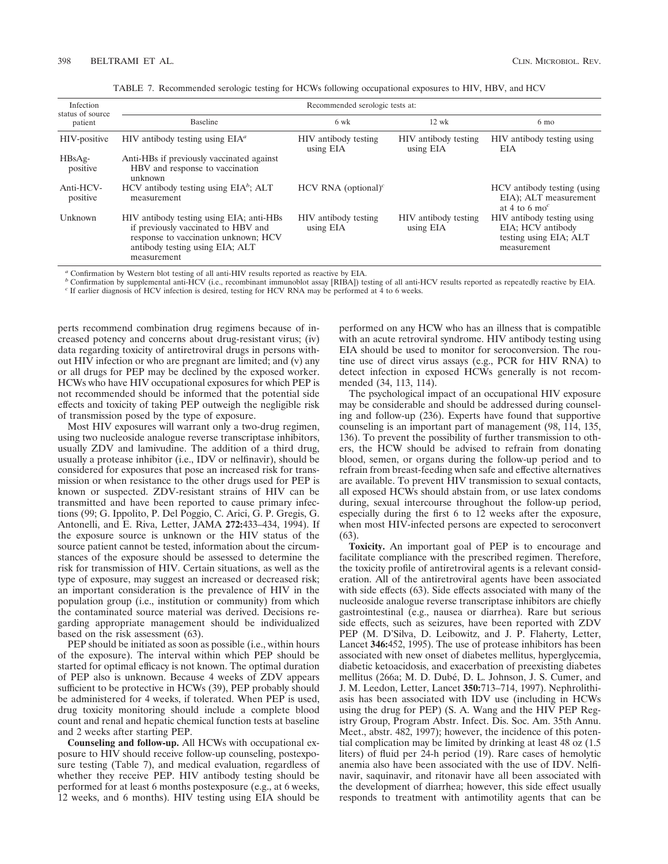| TABLE 7. Recommended serologic testing for HCWs following occupational exposures to HIV, HBV, and HCV |  |  |  |  |
|-------------------------------------------------------------------------------------------------------|--|--|--|--|
|                                                                                                       |  |  |  |  |

| Infection<br>status of source |                                                                                                                                                                           | Recommended serologic tests at:   |                                   |                                                                                          |  |
|-------------------------------|---------------------------------------------------------------------------------------------------------------------------------------------------------------------------|-----------------------------------|-----------------------------------|------------------------------------------------------------------------------------------|--|
| patient                       | <b>Baseline</b>                                                                                                                                                           | 6 wk                              | $12$ wk                           | $6 \text{ mo}$                                                                           |  |
| HIV-positive                  | $HIV$ antibody testing using $EIAa$                                                                                                                                       | HIV antibody testing<br>using EIA | HIV antibody testing<br>using EIA | HIV antibody testing using<br>EIA                                                        |  |
| $HBsAg-$<br>positive          | Anti-HBs if previously vaccinated against<br>HBV and response to vaccination<br>unknown                                                                                   |                                   |                                   |                                                                                          |  |
| Anti-HCV-<br>positive         | $HCV$ antibody testing using $EIAb$ ; ALT<br>measurement                                                                                                                  | HCV RNA (optional) <sup>c</sup>   |                                   | HCV antibody testing (using<br>EIA); ALT measurement<br>at 4 to 6 $\text{mo}^c$          |  |
| Unknown                       | HIV antibody testing using EIA; anti-HBs<br>if previously vaccinated to HBV and<br>response to vaccination unknown; HCV<br>antibody testing using EIA; ALT<br>measurement | HIV antibody testing<br>using EIA | HIV antibody testing<br>using EIA | HIV antibody testing using<br>EIA; HCV antibody<br>testing using EIA; ALT<br>measurement |  |

*<sup>a</sup>* Confirmation by Western blot testing of all anti-HIV results reported as reactive by EIA.

 $^{b}$  Confirmation by supplemental anti-HCV (i.e., recombinant immunoblot assay [RIBA]) testing of all anti-HCV results reported as repeatedly reactive by EIA.<br>
<sup>c</sup> If earlier diagnosis of HCV infection is desired, testin

perts recommend combination drug regimens because of increased potency and concerns about drug-resistant virus; (iv) data regarding toxicity of antiretroviral drugs in persons without HIV infection or who are pregnant are limited; and (v) any or all drugs for PEP may be declined by the exposed worker. HCWs who have HIV occupational exposures for which PEP is not recommended should be informed that the potential side effects and toxicity of taking PEP outweigh the negligible risk of transmission posed by the type of exposure.

Most HIV exposures will warrant only a two-drug regimen, using two nucleoside analogue reverse transcriptase inhibitors, usually ZDV and lamivudine. The addition of a third drug, usually a protease inhibitor (i.e., IDV or nelfinavir), should be considered for exposures that pose an increased risk for transmission or when resistance to the other drugs used for PEP is known or suspected. ZDV-resistant strains of HIV can be transmitted and have been reported to cause primary infections (99; G. Ippolito, P. Del Poggio, C. Arici, G. P. Gregis, G. Antonelli, and E. Riva, Letter, JAMA **272:**433–434, 1994). If the exposure source is unknown or the HIV status of the source patient cannot be tested, information about the circumstances of the exposure should be assessed to determine the risk for transmission of HIV. Certain situations, as well as the type of exposure, may suggest an increased or decreased risk; an important consideration is the prevalence of HIV in the population group (i.e., institution or community) from which the contaminated source material was derived. Decisions regarding appropriate management should be individualized based on the risk assessment (63).

PEP should be initiated as soon as possible (i.e., within hours of the exposure). The interval within which PEP should be started for optimal efficacy is not known. The optimal duration of PEP also is unknown. Because 4 weeks of ZDV appears sufficient to be protective in HCWs (39), PEP probably should be administered for 4 weeks, if tolerated. When PEP is used, drug toxicity monitoring should include a complete blood count and renal and hepatic chemical function tests at baseline and 2 weeks after starting PEP.

**Counseling and follow-up.** All HCWs with occupational exposure to HIV should receive follow-up counseling, postexposure testing (Table 7), and medical evaluation, regardless of whether they receive PEP. HIV antibody testing should be performed for at least 6 months postexposure (e.g., at 6 weeks, 12 weeks, and 6 months). HIV testing using EIA should be

performed on any HCW who has an illness that is compatible with an acute retroviral syndrome. HIV antibody testing using EIA should be used to monitor for seroconversion. The routine use of direct virus assays (e.g., PCR for HIV RNA) to detect infection in exposed HCWs generally is not recommended (34, 113, 114).

The psychological impact of an occupational HIV exposure may be considerable and should be addressed during counseling and follow-up (236). Experts have found that supportive counseling is an important part of management (98, 114, 135, 136). To prevent the possibility of further transmission to others, the HCW should be advised to refrain from donating blood, semen, or organs during the follow-up period and to refrain from breast-feeding when safe and effective alternatives are available. To prevent HIV transmission to sexual contacts, all exposed HCWs should abstain from, or use latex condoms during, sexual intercourse throughout the follow-up period, especially during the first 6 to 12 weeks after the exposure, when most HIV-infected persons are expected to seroconvert  $(63)$ 

**Toxicity.** An important goal of PEP is to encourage and facilitate compliance with the prescribed regimen. Therefore, the toxicity profile of antiretroviral agents is a relevant consideration. All of the antiretroviral agents have been associated with side effects (63). Side effects associated with many of the nucleoside analogue reverse transcriptase inhibitors are chiefly gastrointestinal (e.g., nausea or diarrhea). Rare but serious side effects, such as seizures, have been reported with ZDV PEP (M. D'Silva, D. Leibowitz, and J. P. Flaherty, Letter, Lancet **346:**452, 1995). The use of protease inhibitors has been associated with new onset of diabetes mellitus, hyperglycemia, diabetic ketoacidosis, and exacerbation of preexisting diabetes mellitus (266a; M. D. Dubé, D. L. Johnson, J. S. Cumer, and J. M. Leedon, Letter, Lancet **350:**713–714, 1997). Nephrolithiasis has been associated with IDV use (including in HCWs using the drug for PEP) (S. A. Wang and the HIV PEP Registry Group, Program Abstr. Infect. Dis. Soc. Am. 35th Annu. Meet., abstr. 482, 1997); however, the incidence of this potential complication may be limited by drinking at least 48 oz (1.5 liters) of fluid per 24-h period (19). Rare cases of hemolytic anemia also have been associated with the use of IDV. Nelfinavir, saquinavir, and ritonavir have all been associated with the development of diarrhea; however, this side effect usually responds to treatment with antimotility agents that can be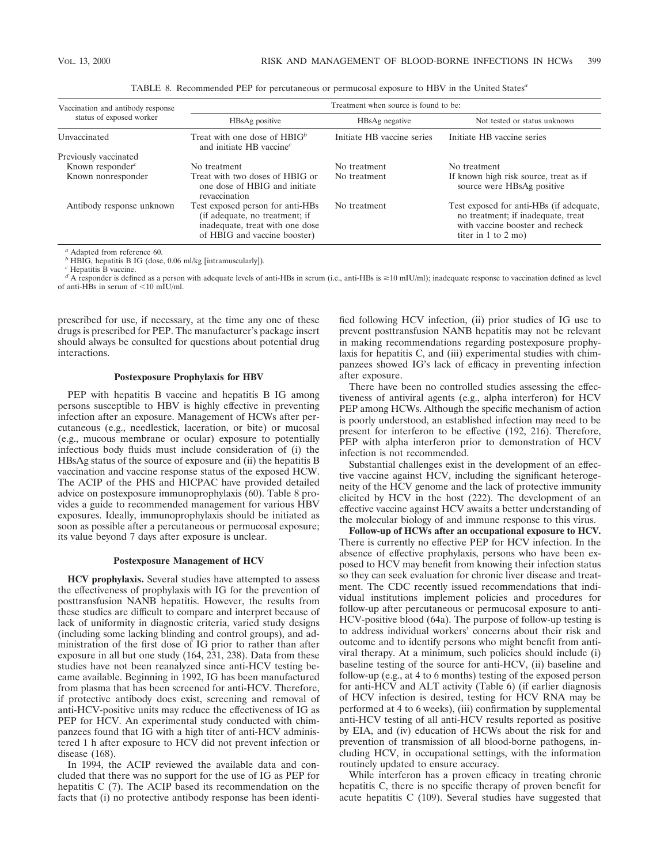| Vaccination and antibody response | Treatment when source is found to be:                                                                                                 |                            |                                                                                                                                              |  |  |
|-----------------------------------|---------------------------------------------------------------------------------------------------------------------------------------|----------------------------|----------------------------------------------------------------------------------------------------------------------------------------------|--|--|
| status of exposed worker          | HBsAg positive                                                                                                                        | HBsAg negative             | Not tested or status unknown                                                                                                                 |  |  |
| Unvaccinated                      | Treat with one dose of $H B I G^b$<br>and initiate $HB$ vaccine <sup><math>c</math></sup>                                             | Initiate HB vaccine series | Initiate HB vaccine series                                                                                                                   |  |  |
| Previously vaccinated             |                                                                                                                                       |                            |                                                                                                                                              |  |  |
| Known responder $c$               | No treatment                                                                                                                          | No treatment               | No treatment                                                                                                                                 |  |  |
| Known nonresponder                | Treat with two doses of HBIG or<br>one dose of HBIG and initiate<br>revaccination                                                     | No treatment               | If known high risk source, treat as if<br>source were HBsAg positive                                                                         |  |  |
| Antibody response unknown         | Test exposed person for anti-HBs<br>(if adequate, no treatment; if<br>inadequate, treat with one dose<br>of HBIG and vaccine booster) | No treatment               | Test exposed for anti-HBs (if adequate,<br>no treatment; if inadequate, treat<br>with vaccine booster and recheck<br>titer in $1$ to $2$ mo) |  |  |

TABLE 8. Recommended PEP for percutaneous or permucosal exposure to HBV in the United States*<sup>a</sup>*

*<sup>a</sup>* Adapted from reference 60.

*b* HBIG, hepatitis B IG (dose, 0.06 ml/kg [intramuscularly]).

*<sup>c</sup>* Hepatitis B vaccine.

 $dA$  responder is defined as a person with adequate levels of anti-HBs in serum (i.e., anti-HBs is  $\geq$ 10 mIU/ml); inadequate response to vaccination defined as level of anti-H $\dot{\text{Bs}}$  in serum of <10 mIU/ml.

prescribed for use, if necessary, at the time any one of these drugs is prescribed for PEP. The manufacturer's package insert should always be consulted for questions about potential drug interactions.

## **Postexposure Prophylaxis for HBV**

PEP with hepatitis B vaccine and hepatitis B IG among persons susceptible to HBV is highly effective in preventing infection after an exposure. Management of HCWs after percutaneous (e.g., needlestick, laceration, or bite) or mucosal (e.g., mucous membrane or ocular) exposure to potentially infectious body fluids must include consideration of (i) the HBsAg status of the source of exposure and (ii) the hepatitis B vaccination and vaccine response status of the exposed HCW. The ACIP of the PHS and HICPAC have provided detailed advice on postexposure immunoprophylaxis (60). Table 8 provides a guide to recommended management for various HBV exposures. Ideally, immunoprophylaxis should be initiated as soon as possible after a percutaneous or permucosal exposure; its value beyond 7 days after exposure is unclear.

#### **Postexposure Management of HCV**

**HCV prophylaxis.** Several studies have attempted to assess the effectiveness of prophylaxis with IG for the prevention of posttransfusion NANB hepatitis. However, the results from these studies are difficult to compare and interpret because of lack of uniformity in diagnostic criteria, varied study designs (including some lacking blinding and control groups), and administration of the first dose of IG prior to rather than after exposure in all but one study  $(164, 231, 238)$ . Data from these studies have not been reanalyzed since anti-HCV testing became available. Beginning in 1992, IG has been manufactured from plasma that has been screened for anti-HCV. Therefore, if protective antibody does exist, screening and removal of anti-HCV-positive units may reduce the effectiveness of IG as PEP for HCV. An experimental study conducted with chimpanzees found that IG with a high titer of anti-HCV administered 1 h after exposure to HCV did not prevent infection or disease (168).

In 1994, the ACIP reviewed the available data and concluded that there was no support for the use of IG as PEP for hepatitis C (7). The ACIP based its recommendation on the facts that (i) no protective antibody response has been identified following HCV infection, (ii) prior studies of IG use to prevent posttransfusion NANB hepatitis may not be relevant in making recommendations regarding postexposure prophylaxis for hepatitis C, and (iii) experimental studies with chimpanzees showed IG's lack of efficacy in preventing infection after exposure.

There have been no controlled studies assessing the effectiveness of antiviral agents (e.g., alpha interferon) for HCV PEP among HCWs. Although the specific mechanism of action is poorly understood, an established infection may need to be present for interferon to be effective (192, 216). Therefore, PEP with alpha interferon prior to demonstration of HCV infection is not recommended.

Substantial challenges exist in the development of an effective vaccine against HCV, including the significant heterogeneity of the HCV genome and the lack of protective immunity elicited by HCV in the host (222). The development of an effective vaccine against HCV awaits a better understanding of the molecular biology of and immune response to this virus.

**Follow-up of HCWs after an occupational exposure to HCV.** There is currently no effective PEP for HCV infection. In the absence of effective prophylaxis, persons who have been exposed to HCV may benefit from knowing their infection status so they can seek evaluation for chronic liver disease and treatment. The CDC recently issued recommendations that individual institutions implement policies and procedures for follow-up after percutaneous or permucosal exposure to anti-HCV-positive blood (64a). The purpose of follow-up testing is to address individual workers' concerns about their risk and outcome and to identify persons who might benefit from antiviral therapy. At a minimum, such policies should include (i) baseline testing of the source for anti-HCV, (ii) baseline and follow-up (e.g., at 4 to 6 months) testing of the exposed person for anti-HCV and ALT activity (Table 6) (if earlier diagnosis of HCV infection is desired, testing for HCV RNA may be performed at 4 to 6 weeks), (iii) confirmation by supplemental anti-HCV testing of all anti-HCV results reported as positive by EIA, and (iv) education of HCWs about the risk for and prevention of transmission of all blood-borne pathogens, including HCV, in occupational settings, with the information routinely updated to ensure accuracy.

While interferon has a proven efficacy in treating chronic hepatitis C, there is no specific therapy of proven benefit for acute hepatitis C (109). Several studies have suggested that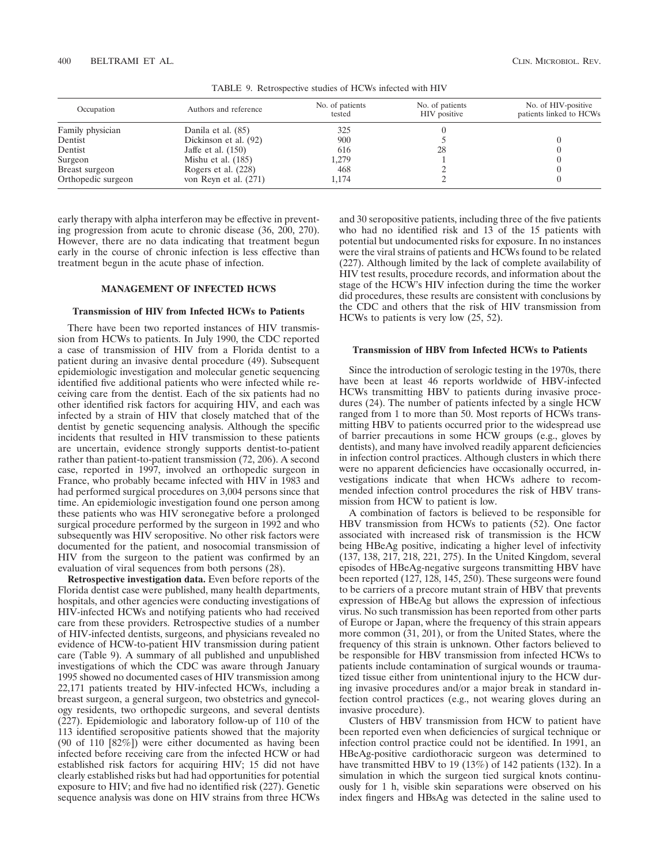| Occupation         | Authors and reference   | No. of patients<br>tested | No. of patients<br>HIV positive | No. of HIV-positive<br>patients linked to HCWs |
|--------------------|-------------------------|---------------------------|---------------------------------|------------------------------------------------|
| Family physician   | Danila et al. (85)      | 325                       |                                 |                                                |
| Dentist            | Dickinson et al. (92)   | 900                       |                                 |                                                |
| Dentist            | Jaffe et al. $(150)$    | 616                       | 28                              |                                                |
| Surgeon            | Mishu et al. $(185)$    | 1,279                     |                                 |                                                |
| Breast surgeon     | Rogers et al. (228)     | 468                       |                                 |                                                |
| Orthopedic surgeon | von Reyn et al. $(271)$ | 1,174                     |                                 |                                                |

TABLE 9. Retrospective studies of HCWs infected with HIV

early therapy with alpha interferon may be effective in preventing progression from acute to chronic disease (36, 200, 270). However, there are no data indicating that treatment begun early in the course of chronic infection is less effective than treatment begun in the acute phase of infection.

#### **MANAGEMENT OF INFECTED HCWS**

## **Transmission of HIV from Infected HCWs to Patients**

There have been two reported instances of HIV transmission from HCWs to patients. In July 1990, the CDC reported a case of transmission of HIV from a Florida dentist to a patient during an invasive dental procedure (49). Subsequent epidemiologic investigation and molecular genetic sequencing identified five additional patients who were infected while receiving care from the dentist. Each of the six patients had no other identified risk factors for acquiring HIV, and each was infected by a strain of HIV that closely matched that of the dentist by genetic sequencing analysis. Although the specific incidents that resulted in HIV transmission to these patients are uncertain, evidence strongly supports dentist-to-patient rather than patient-to-patient transmission (72, 206). A second case, reported in 1997, involved an orthopedic surgeon in France, who probably became infected with HIV in 1983 and had performed surgical procedures on 3,004 persons since that time. An epidemiologic investigation found one person among these patients who was HIV seronegative before a prolonged surgical procedure performed by the surgeon in 1992 and who subsequently was HIV seropositive. No other risk factors were documented for the patient, and nosocomial transmission of HIV from the surgeon to the patient was confirmed by an evaluation of viral sequences from both persons (28).

**Retrospective investigation data.** Even before reports of the Florida dentist case were published, many health departments, hospitals, and other agencies were conducting investigations of HIV-infected HCWs and notifying patients who had received care from these providers. Retrospective studies of a number of HIV-infected dentists, surgeons, and physicians revealed no evidence of HCW-to-patient HIV transmission during patient care (Table 9). A summary of all published and unpublished investigations of which the CDC was aware through January 1995 showed no documented cases of HIV transmission among 22,171 patients treated by HIV-infected HCWs, including a breast surgeon, a general surgeon, two obstetrics and gynecology residents, two orthopedic surgeons, and several dentists (227). Epidemiologic and laboratory follow-up of 110 of the 113 identified seropositive patients showed that the majority (90 of 110 [82%]) were either documented as having been infected before receiving care from the infected HCW or had established risk factors for acquiring HIV; 15 did not have clearly established risks but had had opportunities for potential exposure to HIV; and five had no identified risk (227). Genetic sequence analysis was done on HIV strains from three HCWs

and 30 seropositive patients, including three of the five patients who had no identified risk and 13 of the 15 patients with potential but undocumented risks for exposure. In no instances were the viral strains of patients and HCWs found to be related (227). Although limited by the lack of complete availability of HIV test results, procedure records, and information about the stage of the HCW's HIV infection during the time the worker did procedures, these results are consistent with conclusions by the CDC and others that the risk of HIV transmission from HCWs to patients is very low (25, 52).

# **Transmission of HBV from Infected HCWs to Patients**

Since the introduction of serologic testing in the 1970s, there have been at least 46 reports worldwide of HBV-infected HCWs transmitting HBV to patients during invasive procedures (24). The number of patients infected by a single HCW ranged from 1 to more than 50. Most reports of HCWs transmitting HBV to patients occurred prior to the widespread use of barrier precautions in some HCW groups (e.g., gloves by dentists), and many have involved readily apparent deficiencies in infection control practices. Although clusters in which there were no apparent deficiencies have occasionally occurred, investigations indicate that when HCWs adhere to recommended infection control procedures the risk of HBV transmission from HCW to patient is low.

A combination of factors is believed to be responsible for HBV transmission from HCWs to patients (52). One factor associated with increased risk of transmission is the HCW being HBeAg positive, indicating a higher level of infectivity (137, 138, 217, 218, 221, 275). In the United Kingdom, several episodes of HBeAg-negative surgeons transmitting HBV have been reported (127, 128, 145, 250). These surgeons were found to be carriers of a precore mutant strain of HBV that prevents expression of HBeAg but allows the expression of infectious virus. No such transmission has been reported from other parts of Europe or Japan, where the frequency of this strain appears more common (31, 201), or from the United States, where the frequency of this strain is unknown. Other factors believed to be responsible for HBV transmission from infected HCWs to patients include contamination of surgical wounds or traumatized tissue either from unintentional injury to the HCW during invasive procedures and/or a major break in standard infection control practices (e.g., not wearing gloves during an invasive procedure).

Clusters of HBV transmission from HCW to patient have been reported even when deficiencies of surgical technique or infection control practice could not be identified. In 1991, an HBeAg-positive cardiothoracic surgeon was determined to have transmitted HBV to 19 (13%) of 142 patients (132). In a simulation in which the surgeon tied surgical knots continuously for 1 h, visible skin separations were observed on his index fingers and HBsAg was detected in the saline used to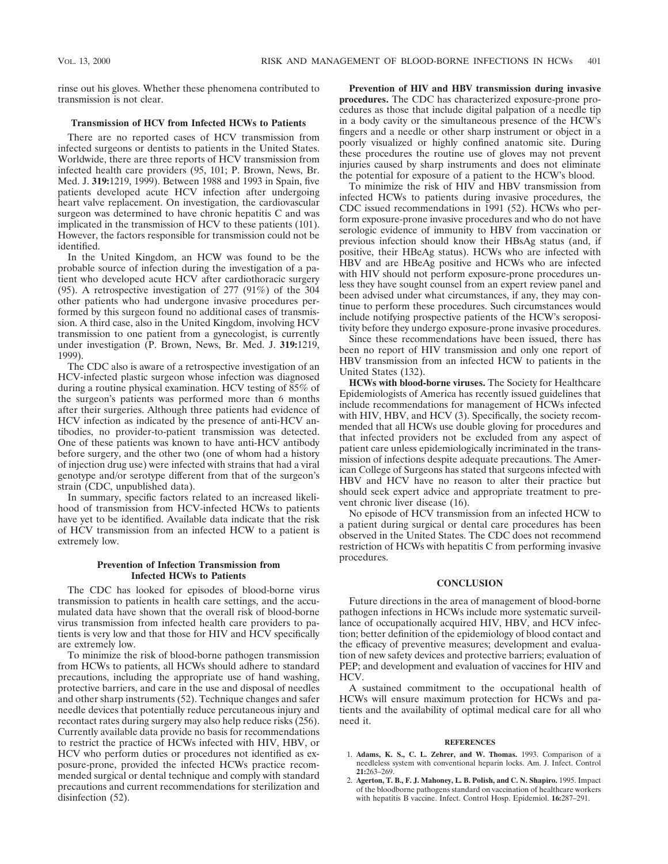rinse out his gloves. Whether these phenomena contributed to transmission is not clear.

# **Transmission of HCV from Infected HCWs to Patients**

There are no reported cases of HCV transmission from infected surgeons or dentists to patients in the United States. Worldwide, there are three reports of HCV transmission from infected health care providers (95, 101; P. Brown, News, Br. Med. J. **319:**1219, 1999). Between 1988 and 1993 in Spain, five patients developed acute HCV infection after undergoing heart valve replacement. On investigation, the cardiovascular surgeon was determined to have chronic hepatitis C and was implicated in the transmission of HCV to these patients (101). However, the factors responsible for transmission could not be identified.

In the United Kingdom, an HCW was found to be the probable source of infection during the investigation of a patient who developed acute HCV after cardiothoracic surgery (95). A retrospective investigation of 277 (91%) of the 304 other patients who had undergone invasive procedures performed by this surgeon found no additional cases of transmission. A third case, also in the United Kingdom, involving HCV transmission to one patient from a gynecologist, is currently under investigation (P. Brown, News, Br. Med. J. **319:**1219, 1999).

The CDC also is aware of a retrospective investigation of an HCV-infected plastic surgeon whose infection was diagnosed during a routine physical examination. HCV testing of 85% of the surgeon's patients was performed more than 6 months after their surgeries. Although three patients had evidence of HCV infection as indicated by the presence of anti-HCV antibodies, no provider-to-patient transmission was detected. One of these patients was known to have anti-HCV antibody before surgery, and the other two (one of whom had a history of injection drug use) were infected with strains that had a viral genotype and/or serotype different from that of the surgeon's strain (CDC, unpublished data).

In summary, specific factors related to an increased likelihood of transmission from HCV-infected HCWs to patients have yet to be identified. Available data indicate that the risk of HCV transmission from an infected HCW to a patient is extremely low.

## **Prevention of Infection Transmission from Infected HCWs to Patients**

The CDC has looked for episodes of blood-borne virus transmission to patients in health care settings, and the accumulated data have shown that the overall risk of blood-borne virus transmission from infected health care providers to patients is very low and that those for HIV and HCV specifically are extremely low.

To minimize the risk of blood-borne pathogen transmission from HCWs to patients, all HCWs should adhere to standard precautions, including the appropriate use of hand washing, protective barriers, and care in the use and disposal of needles and other sharp instruments (52). Technique changes and safer needle devices that potentially reduce percutaneous injury and recontact rates during surgery may also help reduce risks (256). Currently available data provide no basis for recommendations to restrict the practice of HCWs infected with HIV, HBV, or HCV who perform duties or procedures not identified as exposure-prone, provided the infected HCWs practice recommended surgical or dental technique and comply with standard precautions and current recommendations for sterilization and disinfection (52).

**Prevention of HIV and HBV transmission during invasive procedures.** The CDC has characterized exposure-prone procedures as those that include digital palpation of a needle tip in a body cavity or the simultaneous presence of the HCW's fingers and a needle or other sharp instrument or object in a poorly visualized or highly confined anatomic site. During these procedures the routine use of gloves may not prevent injuries caused by sharp instruments and does not eliminate the potential for exposure of a patient to the HCW's blood.

To minimize the risk of HIV and HBV transmission from infected HCWs to patients during invasive procedures, the CDC issued recommendations in 1991 (52). HCWs who perform exposure-prone invasive procedures and who do not have serologic evidence of immunity to HBV from vaccination or previous infection should know their HBsAg status (and, if positive, their HBeAg status). HCWs who are infected with HBV and are HBeAg positive and HCWs who are infected with HIV should not perform exposure-prone procedures unless they have sought counsel from an expert review panel and been advised under what circumstances, if any, they may continue to perform these procedures. Such circumstances would include notifying prospective patients of the HCW's seropositivity before they undergo exposure-prone invasive procedures.

Since these recommendations have been issued, there has been no report of HIV transmission and only one report of HBV transmission from an infected HCW to patients in the United States (132).

**HCWs with blood-borne viruses.** The Society for Healthcare Epidemiologists of America has recently issued guidelines that include recommendations for management of HCWs infected with HIV, HBV, and HCV (3). Specifically, the society recommended that all HCWs use double gloving for procedures and that infected providers not be excluded from any aspect of patient care unless epidemiologically incriminated in the transmission of infections despite adequate precautions. The American College of Surgeons has stated that surgeons infected with HBV and HCV have no reason to alter their practice but should seek expert advice and appropriate treatment to prevent chronic liver disease (16).

No episode of HCV transmission from an infected HCW to a patient during surgical or dental care procedures has been observed in the United States. The CDC does not recommend restriction of HCWs with hepatitis C from performing invasive procedures.

## **CONCLUSION**

Future directions in the area of management of blood-borne pathogen infections in HCWs include more systematic surveillance of occupationally acquired HIV, HBV, and HCV infection; better definition of the epidemiology of blood contact and the efficacy of preventive measures; development and evaluation of new safety devices and protective barriers; evaluation of PEP; and development and evaluation of vaccines for HIV and HCV.

A sustained commitment to the occupational health of HCWs will ensure maximum protection for HCWs and patients and the availability of optimal medical care for all who need it.

#### **REFERENCES**

- 1. **Adams, K. S., C. L. Zehrer, and W. Thomas.** 1993. Comparison of a needleless system with conventional heparin locks. Am. J. Infect. Control **21:**263–269.
- 2. **Agerton, T. B., F. J. Mahoney, L. B. Polish, and C. N. Shapiro.** 1995. Impact of the bloodborne pathogens standard on vaccination of healthcare workers with hepatitis B vaccine. Infect. Control Hosp. Epidemiol. **16:**287–291.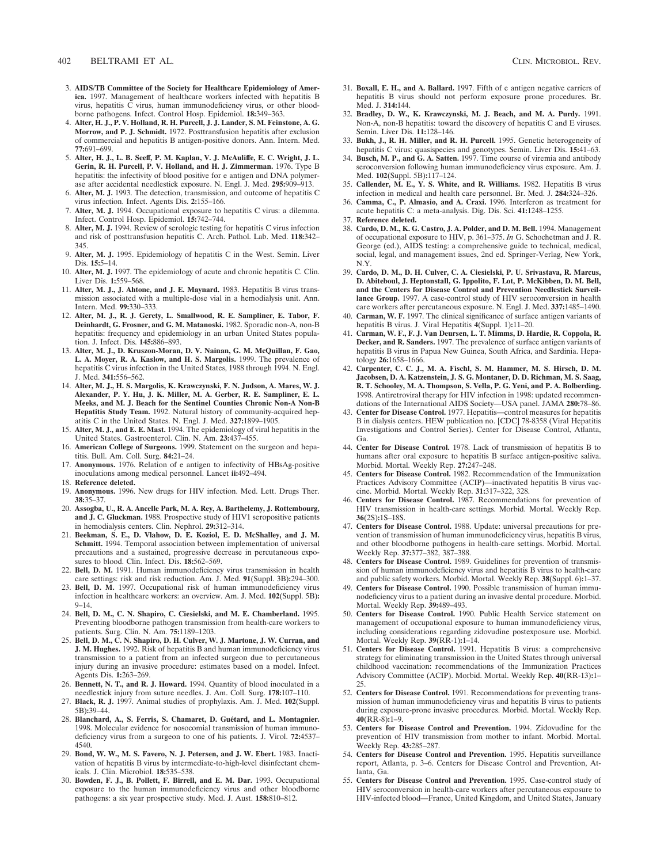- 3. **AIDS/TB Committee of the Society for Healthcare Epidemiology of America.** 1997. Management of healthcare workers infected with hepatitis B virus, hepatitis C virus, human immunodeficiency virus, or other bloodborne pathogens. Infect. Control Hosp. Epidemiol. **18:**349–363.
- 4. **Alter, H. J., P. V. Holland, R. H. Purcell, J. J. Lander, S. M. Feinstone, A. G. Morrow, and P. J. Schmidt.** 1972. Posttransfusion hepatitis after exclusion of commercial and hepatitis B antigen-positive donors. Ann. Intern. Med. **77:**691–699.
- 5. **Alter, H. J., L. B. Seeff, P. M. Kaplan, V. J. McAuliffe, E. C. Wright, J. L. Gerin, R. H. Purcell, P. V. Holland, and H. J. Zimmerman.** 1976. Type B hepatitis: the infectivity of blood positive for e antigen and DNA polymerase after accidental needlestick exposure. N. Engl. J. Med. **295:**909–913.
- 6. **Alter, M. J.** 1993. The detection, transmission, and outcome of hepatitis C virus infection. Infect. Agents Dis. **2:**155–166.
- 7. **Alter, M. J.** 1994. Occupational exposure to hepatitis C virus: a dilemma. Infect. Control Hosp. Epidemiol. **15:**742–744.
- 8. **Alter, M. J.** 1994. Review of serologic testing for hepatitis C virus infection and risk of posttransfusion hepatitis C. Arch. Pathol. Lab. Med. **118:**342– 345.
- 9. **Alter, M. J.** 1995. Epidemiology of hepatitis C in the West. Semin. Liver Dis. **15:**5–14.
- 10. **Alter, M. J.** 1997. The epidemiology of acute and chronic hepatitis C. Clin. Liver Dis. **1:**559–568.
- 11. **Alter, M. J., J. Ahtone, and J. E. Maynard.** 1983. Hepatitis B virus transmission associated with a multiple-dose vial in a hemodialysis unit. Ann. Intern. Med. **99:**330–333.
- 12. **Alter, M. J., R. J. Gerety, L. Smallwood, R. E. Sampliner, E. Tabor, F. Deinhardt, G. Frosner, and G. M. Matanoski.** 1982. Sporadic non-A, non-B hepatitis: frequency and epidemiology in an urban United States population. J. Infect. Dis. **145:**886–893.
- 13. **Alter, M. J., D. Kruszon-Moran, D. V. Nainan, G. M. McQuillan, F. Gao, L. A. Moyer, R. A. Kaslow, and H. S. Margolis.** 1999. The prevalence of hepatitis C virus infection in the United States, 1988 through 1994. N. Engl. J. Med. **341:**556–562.
- 14. **Alter, M. J., H. S. Margolis, K. Krawczynski, F. N. Judson, A. Mares, W. J. Alexander, P. Y. Hu, J. K. Miller, M. A. Gerber, R. E. Sampliner, E. L. Meeks, and M. J. Beach for the Sentinel Counties Chronic Non-A Non-B Hepatitis Study Team.** 1992. Natural history of community-acquired hepatitis C in the United States. N. Engl. J. Med. **327:**1899–1905.
- 15. **Alter, M. J., and E. E. Mast.** 1994. The epidemiology of viral hepatitis in the United States. Gastroenterol. Clin. N. Am. **23:**437–455.
- 16. **American College of Surgeons.** 1999. Statement on the surgeon and hepatitis. Bull. Am. Coll. Surg. **84:**21–24.
- 17. **Anonymous.** 1976. Relation of e antigen to infectivity of HBsAg-positive inoculations among medical personnel. Lancet **ii:**492–494.
- 18. **Reference deleted.**
- 19. **Anonymous.** 1996. New drugs for HIV infection. Med. Lett. Drugs Ther. **38:**35–37.
- 20. **Assogba, U., R. A. Ancelle Park, M. A. Rey, A. Barthelemy, J. Rottembourg, and J. C. Gluckman.** 1988. Prospective study of HIV1 seropositive patients in hemodialysis centers. Clin. Nephrol. **29:**312–314.
- 21. **Beekman, S. E., D. Vlahow, D. E. Koziol, E. D. McShalley, and J. M. Schmitt.** 1994. Temporal association between implementation of universal precautions and a sustained, progressive decrease in percutaneous exposures to blood. Clin. Infect. Dis. **18:**562–569.
- 22. **Bell, D. M.** 1991. Human immunodeficiency virus transmission in health care settings: risk and risk reduction. Am. J. Med. **91**(Suppl. 3B)**:**294–300.
- 23. **Bell, D. M.** 1997. Occupational risk of human immunodeficiency virus infection in healthcare workers: an overview. Am. J. Med. **102**(Suppl. 5B)**:**  $9 - 14$
- 24. **Bell, D. M., C. N. Shapiro, C. Ciesielski, and M. E. Chamberland.** 1995. Preventing bloodborne pathogen transmission from health-care workers to patients. Surg. Clin. N. Am. **75:**1189–1203.
- 25. **Bell, D. M., C. N. Shapiro, D. H. Culver, W. J. Martone, J. W. Curran, and J. M. Hughes.** 1992. Risk of hepatitis B and human immunodeficiency virus transmission to a patient from an infected surgeon due to percutaneous injury during an invasive procedure: estimates based on a model. Infect. Agents Dis. **1:**263–269.
- 26. **Bennett, N. T., and R. J. Howard.** 1994. Quantity of blood inoculated in a needlestick injury from suture needles. J. Am. Coll. Surg. **178:**107–110.
- 27. **Black, R. J.** 1997. Animal studies of prophylaxis. Am. J. Med. **102**(Suppl. 5B)**:**39–44.
- 28. **Blanchard, A., S. Ferris, S. Chamaret, D. Gue´tard, and L. Montagnier.** 1998. Molecular evidence for nosocomial transmission of human immunodeficiency virus from a surgeon to one of his patients. J. Virol. **72:**4537– 4540.
- 29. **Bond, W. W., M. S. Favero, N. J. Petersen, and J. W. Ebert.** 1983. Inactivation of hepatitis B virus by intermediate-to-high-level disinfectant chemicals. J. Clin. Microbiol. **18:**535–538.
- 30. **Bowden, F. J., B. Pollett, F. Birrell, and E. M. Dar.** 1993. Occupational exposure to the human immunodeficiency virus and other bloodborne pathogens: a six year prospective study. Med. J. Aust. **158:**810–812.
- 31. **Boxall, E. H., and A. Ballard.** 1997. Fifth of e antigen negative carriers of hepatitis B virus should not perform exposure prone procedures. Br. Med. J. **314:**144.
- 32. **Bradley, D. W., K. Krawczynski, M. J. Beach, and M. A. Purdy.** 1991. Non-A, non-B hepatitis: toward the discovery of hepatitis C and E viruses. Semin. Liver Dis. **11:**128–146.
- 33. **Bukh, J., R. H. Miller, and R. H. Purcell.** 1995. Genetic heterogeneity of hepatitis C virus: quasispecies and genotypes. Semin. Liver Dis. **15:**41–63.
- 34. **Busch, M. P., and G. A. Satten.** 1997. Time course of viremia and antibody seroconversion following human immunodeficiency virus exposure. Am. J. Med. **102**(Suppl. 5B)**:**117–124.
- 35. **Callender, M. E., Y. S. White, and R. Williams.** 1982. Hepatitis B virus infection in medical and health care personnel. Br. Med. J. **284:**324–326.
- 36. **Camma, C., P. Almasio, and A. Craxi.** 1996. Interferon as treatment for acute hepatitis C: a meta-analysis. Dig. Dis. Sci. **41:**1248–1255.
- 37. **Reference deleted.**
- 38. **Cardo, D. M., K. G. Castro, J. A. Polder, and D. M. Bell.** 1994. Management of occupational exposure to HIV, p. 361–375. *In* G. Schochetman and J. R. George (ed.), AIDS testing: a comprehensive guide to technical, medical, social, legal, and management issues, 2nd ed. Springer-Verlag, New York, N.Y.
- 39. **Cardo, D. M., D. H. Culver, C. A. Ciesielski, P. U. Srivastava, R. Marcus, D. Abiteboul, J. Heptonstall, G. Ippolito, F. Lot, P. McKibben, D. M. Bell, and the Centers for Disease Control and Prevention Needlestick Surveillance Group.** 1997. A case-control study of HIV seroconversion in health care workers after percutaneous exposure. N. Engl. J. Med. **337:**1485–1490.
- 40. **Carman, W. F.** 1997. The clinical significance of surface antigen variants of hepatitis B virus. J. Viral Hepatitis **4**(Suppl. 1)**:**11–20.
- 41. **Carman, W. F., F. J. Van Deursen, L. T. Mimms, D. Hardie, R. Coppola, R. Decker, and R. Sanders.** 1997. The prevalence of surface antigen variants of hepatitis B virus in Papua New Guinea, South Africa, and Sardinia. Hepatology **26:**1658–1666.
- 42. **Carpenter, C. C. J., M. A. Fischl, S. M. Hammer, M. S. Hirsch, D. M. Jacobsen, D. A. Katzenstein, J. S. G. Montaner, D. D. Richman, M. S. Saag, R. T. Schooley, M. A. Thompson, S. Vella, P. G. Yeni, and P. A. Bolberding.** 1998. Antiretroviral therapy for HIV infection in 1998: updated recommendations of the International AIDS Society—USA panel. JAMA **280:**78–86.
- 43. **Center for Disease Control.** 1977. Hepatitis—control measures for hepatitis B in dialysis centers. HEW publication no. [CDC] 78-8358 (Viral Hepatitis Investigations and Control Series). Center for Disease Control, Atlanta, Ga.
- 44. **Center for Disease Control.** 1978. Lack of transmission of hepatitis B to humans after oral exposure to hepatitis B surface antigen-positive saliva. Morbid. Mortal. Weekly Rep. **27:**247–248.
- 45. **Centers for Disease Control.** 1982. Recommendation of the Immunization Practices Advisory Committee (ACIP)—inactivated hepatitis B virus vaccine. Morbid. Mortal. Weekly Rep. **31:**317–322, 328.
- 46. **Centers for Disease Control.** 1987. Recommendations for prevention of HIV transmission in health-care settings. Morbid. Mortal. Weekly Rep. **36**(2S)**:**1S–18S.
- 47. **Centers for Disease Control.** 1988. Update: universal precautions for prevention of transmission of human immunodeficiency virus, hepatitis B virus, and other bloodborne pathogens in health-care settings. Morbid. Mortal. Weekly Rep. **37:**377–382, 387–388.
- 48. **Centers for Disease Control.** 1989. Guidelines for prevention of transmission of human immunodeficiency virus and hepatitis B virus to health-care and public safety workers. Morbid. Mortal. Weekly Rep. **38**(Suppl. 6)**:**1–37.
- 49. **Centers for Disease Control.** 1990. Possible transmission of human immunodeficiency virus to a patient during an invasive dental procedure. Morbid. Mortal. Weekly Rep. **39:**489–493.
- 50. **Centers for Disease Control.** 1990. Public Health Service statement on management of occupational exposure to human immunodeficiency virus, including considerations regarding zidovudine postexposure use. Morbid. Mortal. Weekly Rep. **39**(RR-1)**:**1–14.
- 51. **Centers for Disease Control.** 1991. Hepatitis B virus: a comprehensive strategy for eliminating transmission in the United States through universal childhood vaccination: recommendations of the Immunization Practices Advisory Committee (ACIP). Morbid. Mortal. Weekly Rep. **40**(RR-13)**:**1– 25.
- 52. **Centers for Disease Control.** 1991. Recommendations for preventing transmission of human immunodeficiency virus and hepatitis B virus to patients during exposure-prone invasive procedures. Morbid. Mortal. Weekly Rep. **40**(RR-8)**:**1–9.
- 53. **Centers for Disease Control and Prevention.** 1994. Zidovudine for the prevention of HIV transmission from mother to infant. Morbid. Mortal. Weekly Rep. **43:**285–287.
- 54. **Centers for Disease Control and Prevention.** 1995. Hepatitis surveillance report, Atlanta, p. 3–6. Centers for Disease Control and Prevention, Atlanta, Ga.
- 55. **Centers for Disease Control and Prevention.** 1995. Case-control study of HIV seroconversion in health-care workers after percutaneous exposure to HIV-infected blood—France, United Kingdom, and United States, January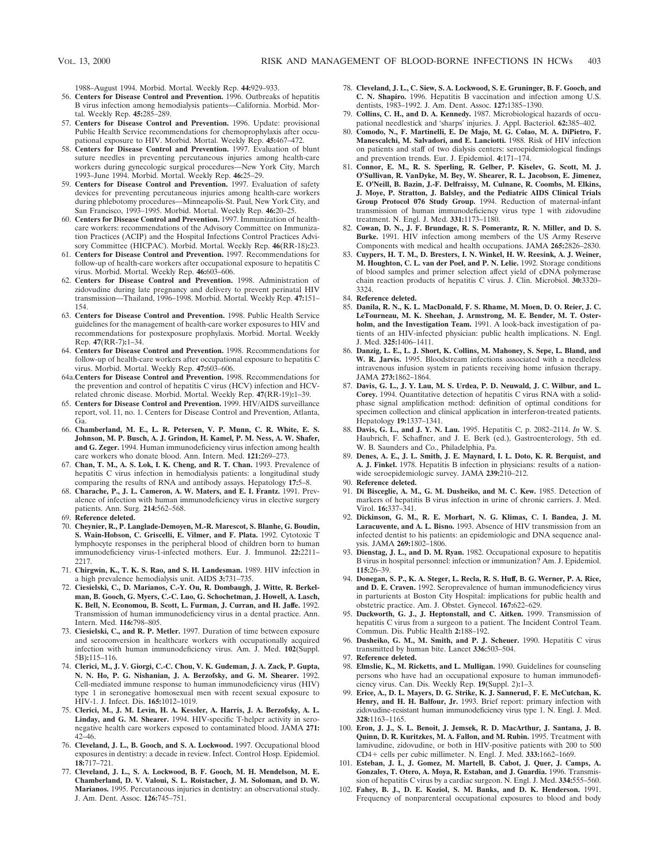1988–August 1994. Morbid. Mortal. Weekly Rep. **44:**929–933.

- 56. **Centers for Disease Control and Prevention.** 1996. Outbreaks of hepatitis B virus infection among hemodialysis patients—California. Morbid. Mortal. Weekly Rep. **45:**285–289.
- 57. **Centers for Disease Control and Prevention.** 1996. Update: provisional Public Health Service recommendations for chemoprophylaxis after occupational exposure to HIV. Morbid. Mortal. Weekly Rep. **45:**467–472.
- 58. **Centers for Disease Control and Prevention.** 1997. Evaluation of blunt suture needles in preventing percutaneous injuries among health-care workers during gynecologic surgical procedures—New York City, March 1993–June 1994. Morbid. Mortal. Weekly Rep. **46:**25–29.
- 59. **Centers for Disease Control and Prevention.** 1997. Evaluation of safety devices for preventing percutaneous injuries among health-care workers during phlebotomy procedures—Minneapolis-St. Paul, New York City, and San Francisco, 1993–1995. Morbid. Mortal. Weekly Rep. **46:**20–25.
- 60. **Centers for Disease Control and Prevention.** 1997. Immunization of healthcare workers: recommendations of the Advisory Committee on Immunization Practices (ACIP) and the Hospital Infections Control Practices Advisory Committee (HICPAC). Morbid. Mortal. Weekly Rep. **46**(RR-18)**:**23.
- 61. **Centers for Disease Control and Prevention.** 1997. Recommendations for follow-up of health-care workers after occupational exposure to hepatitis C virus. Morbid. Mortal. Weekly Rep. **46:**603–606.
- 62. **Centers for Disease Control and Prevention.** 1998. Administration of zidovudine during late pregnancy and delivery to prevent perinatal HIV transmission—Thailand, 1996–1998. Morbid. Mortal. Weekly Rep. **47:**151– 154.
- 63. **Centers for Disease Control and Prevention.** 1998. Public Health Service guidelines for the management of health-care worker exposures to HIV and recommendations for postexposure prophylaxis. Morbid. Mortal. Weekly Rep. **47**(RR-7)**:**1–34.
- 64. **Centers for Disease Control and Prevention.** 1998. Recommendations for follow-up of health-care workers after occupational exposure to hepatitis C virus. Morbid. Mortal. Weekly Rep. **47:**603–606.
- 64a.**Centers for Disease Control and Prevention.** 1998. Recommendations for the prevention and control of hepatitis C virus (HCV) infection and HCVrelated chronic disease. Morbid. Mortal. Weekly Rep. **47**(RR-19)**:**1–39.
- 65. **Centers for Disease Control and Prevention.** 1999. HIV/AIDS surveillance report, vol. 11, no. 1. Centers for Disease Control and Prevention, Atlanta, Ga.
- 66. **Chamberland, M. E., L. R. Petersen, V. P. Munn, C. R. White, E. S. Johnson, M. P. Busch, A. J. Grindon, H. Kamel, P. M. Ness, A. W. Shafer, and G. Zeger.** 1994. Human immunodeficiency virus infection among health care workers who donate blood. Ann. Intern. Med. **121:**269–273.
- 67. **Chan, T. M., A. S. Lok, I. K. Cheng, and R. T. Chan.** 1993. Prevalence of hepatitis C virus infection in hemodialysis patients: a longitudinal study comparing the results of RNA and antibody assays. Hepatology **17:**5–8.
- 68. **Charache, P., J. L. Cameron, A. W. Maters, and E. I. Frantz.** 1991. Prevalence of infection with human immunodeficiency virus in elective surgery patients. Ann. Surg. **214:**562–568.
- 69. **Reference deleted.**
- 70. **Cheynier, R., P. Langlade-Demoyen, M.-R. Marescot, S. Blanhe, G. Boudin, S. Wain-Hobson, C. Griscelli, E. Vilmer, and F. Plata.** 1992. Cytotoxic T lymphocyte responses in the peripheral blood of children born to human immunodeficiency virus-1-infected mothers. Eur. J. Immunol. **22:**2211– 2217.
- 71. **Chirgwin, K., T. K. S. Rao, and S. H. Landesman.** 1989. HIV infection in a high prevalence hemodialysis unit. AIDS **3:**731–735.
- 72. **Ciesielski, C., D. Marianos, C.-Y. Ou, R. Dombaugh, J. Witte, R. Berkelman, B. Gooch, G. Myers, C.-C. Luo, G. Schochetman, J. Howell, A. Lasch, K. Bell, N. Economou, B. Scott, L. Furman, J. Curran, and H. Jaffe.** 1992. Transmission of human immunodeficiency virus in a dental practice. Ann. Intern. Med. **116:**798–805.
- 73. **Ciesielski, C., and R. P. Metler.** 1997. Duration of time between exposure and seroconversion in healthcare workers with occupationally acquired infection with human immunodeficiency virus. Am. J. Med. **102**(Suppl. 5B)**:**115–116.
- 74. **Clerici, M., J. V. Giorgi, C.-C. Chou, V. K. Gudeman, J. A. Zack, P. Gupta, N. N. Ho, P. G. Nishanian, J. A. Berzofsky, and G. M. Shearer.** 1992. Cell-mediated immune response to human immunodeficiency virus (HIV) type 1 in seronegative homosexual men with recent sexual exposure to HIV-1. J. Infect. Dis. **165:**1012–1019.
- 75. **Clerici, M., J. M. Levin, H. A. Kessler, A. Harris, J. A. Berzofsky, A. L. Linday, and G. M. Shearer.** 1994. HIV-specific T-helper activity in seronegative health care workers exposed to contaminated blood. JAMA **271:** 42–46.
- 76. **Cleveland, J. L., B. Gooch, and S. A. Lockwood.** 1997. Occupational blood exposures in dentistry: a decade in review. Infect. Control Hosp. Epidemiol. **18:**717–721.
- 77. **Cleveland, J. L., S. A. Lockwood, B. F. Gooch, M. H. Mendelson, M. E. Chamberland, D. V. Valoui, S. L. Roistacher, J. M. Soloman, and D. W. Marianos.** 1995. Percutaneous injuries in dentistry: an observational study. J. Am. Dent. Assoc. **126:**745–751.
- 78. **Cleveland, J. L., C. Siew, S. A. Lockwood, S. E. Gruninger, B. F. Gooch, and C. N. Shapiro.** 1996. Hepatitis B vaccination and infection among U.S. dentists, 1983–1992. J. Am. Dent. Assoc. **127:**1385–1390.
- 79. **Collins, C. H., and D. A. Kennedy.** 1987. Microbiological hazards of occupational needlestick and 'sharps' injuries. J. Appl. Bacteriol. **62:**385–402.
- 80. **Comodo, N., F. Martinelli, E. De Majo, M. G. Colao, M. A. DiPietro, F. Manescalchi, M. Salvadori, and E. Lanciotti.** 1988. Risk of HIV infection on patients and staff of two dialysis centers: seroepidemiological findings and prevention trends. Eur. J. Epidemiol. **4:**171–174.
- 81. **Connor, E. M., R. S. Sperling, R. Gelber, P. Kiselev, G. Scott, M. J. O'Sullivan, R. VanDyke, M. Bey, W. Shearer, R. L. Jacobson, E. Jimenez, E. O'Neill, B. Bazin, J.-F. Delfraissy, M. Culnane, R. Coombs, M. Elkins, J. Moye, P. Stratton, J. Balsley, and the Pediatric AIDS Clinical Trials Group Protocol 076 Study Group.** 1994. Reduction of maternal-infant transmission of human immunodeficiency virus type 1 with zidovudine treatment. N. Engl. J. Med. **331:**1173–1180.
- 82. **Cowan, D. N., J. F. Brundage, R. S. Pomerantz, R. N. Miller, and D. S. Burke.** 1991. HIV infection among members of the US Army Reserve Components with medical and health occupations. JAMA **265:**2826–2830.
- 83. **Cuypers, H. T. M., D. Bresters, I. N. Winkel, H. W. Reesink, A. J. Weiner, M. Houghton, C. L. van der Poel, and P. N. Lelie.** 1992. Storage conditions of blood samples and primer selection affect yield of cDNA polymerase chain reaction products of hepatitis C virus. J. Clin. Microbiol. **30:**3320– 3324.
- 84. **Reference deleted.**
- 85. **Danila, R. N., K. L. MacDonald, F. S. Rhame, M. Moen, D. O. Reier, J. C. LeTourneau, M. K. Sheehan, J. Armstrong, M. E. Bender, M. T. Osterholm, and the Investigation Team.** 1991. A look-back investigation of patients of an HIV-infected physician: public health implications. N. Engl. J. Med. **325:**1406–1411.
- 86. **Danzig, L. E., L. J. Short, K. Collins, M. Mahoney, S. Sepe, L. Bland, and W. R. Jarvis.** 1995. Bloodstream infections associated with a needleless intravenous infusion system in patients receiving home infusion therapy. JAMA **273:**1862–1864.
- 87. **Davis, G. L., J. Y. Lau, M. S. Urdea, P. D. Neuwald, J. C. Wilbur, and L. Corey.** 1994. Quantitative detection of hepatitis C virus RNA with a solidphase signal amplification method: definition of optimal conditions for specimen collection and clinical application in interferon-treated patients. Hepatology **19:**1337–1341.
- 88. **Davis, G. L., and J. Y. N. Lau.** 1995. Hepatitis C, p. 2082–2114. *In* W. S. Haubrich, F. Schaffner, and J. E. Berk (ed.), Gastroenterology, 5th ed. W. B. Saunders and Co., Philadelphia, Pa.
- 89. **Denes, A. E., J. L. Smith, J. E. Maynard, I. L. Doto, K. R. Berquist, and A. J. Finkel.** 1978. Hepatitis B infection in physicians: results of a nationwide seroepidemiologic survey. JAMA **239:**210–212.
- 90. **Reference deleted.**
- 91. **Di Bisceglie, A. M., G. M. Dusheiko, and M. C. Kew.** 1985. Detection of markers of hepatitis B virus infection in urine of chronic carriers. J. Med. Virol. **16:**337–341.
- 92. **Dickinson, G. M., R. E. Morhart, N. G. Klimas, C. I. Bandea, J. M. Laracuvente, and A. L. Bisno.** 1993. Absence of HIV transmission from an infected dentist to his patients: an epidemiologic and DNA sequence analysis. JAMA **269:**1802–1806.
- 93. **Dienstag, J. L., and D. M. Ryan.** 1982. Occupational exposure to hepatitis B virus in hospital personnel: infection or immunization? Am. J. Epidemiol. **115:**26–39.
- 94. **Donegan, S. P., K. A. Steger, L. Recla, R. S. Huff, B. G. Werner, P. A. Rice, and D. E. Craven.** 1992. Seroprevalence of human immunodeficiency virus in parturients at Boston City Hospital: implications for public health and obstetric practice. Am. J. Obstet. Gynecol. **167:**622–629.
- 95. **Duckworth, G. J., J. Heptonstall, and C. Aitken.** 1999. Transmission of hepatitis C virus from a surgeon to a patient. The Incident Control Team. Commun. Dis. Public Health **2:**188–192.
- 96. **Dusheiko, G. M., M. Smith, and P. J. Scheuer.** 1990. Hepatitis C virus transmitted by human bite. Lancet **336:**503–504.
- 97. **Reference deleted.**
- 98. **Elmslie, K., M. Ricketts, and L. Mulligan.** 1990. Guidelines for counseling persons who have had an occupational exposure to human immunodeficiency virus. Can. Dis. Weekly Rep. **19**(Suppl. 2)**:**1–3.
- 99. **Erice, A., D. L. Mayers, D. G. Strike, K. J. Sannerud, F. E. McCutchan, K. Henry, and H. H. Balfour, Jr.** 1993. Brief report: primary infection with zidovudine-resistant human immunodeficiency virus type 1. N. Engl. J. Med. **328:**1163–1165.
- 100. **Eron, J. J., S. L. Benoit, J. Jemsek, R. D. MacArthur, J. Santana, J. B. Quinn, D. R. Kuritzkes, M. A. Fallon, and M. Rubin.** 1995. Treatment with lamivudine, zidovudine, or both in HIV-positive patients with 200 to 500 CD41 cells per cubic millimeter. N. Engl. J. Med. **333:**1662–1669.
- 101. **Esteban, J. I., J. Gomez, M. Martell, B. Cabot, J. Quer, J. Camps, A. Gonzales, T. Otero, A. Moya, R. Estaban, and J. Guardia.** 1996. Transmission of hepatitis C virus by a cardiac surgeon. N. Engl. J. Med. **334:**555–560.
- 102. **Fahey, B. J., D. E. Koziol, S. M. Banks, and D. K. Henderson.** 1991. Frequency of nonparenteral occupational exposures to blood and body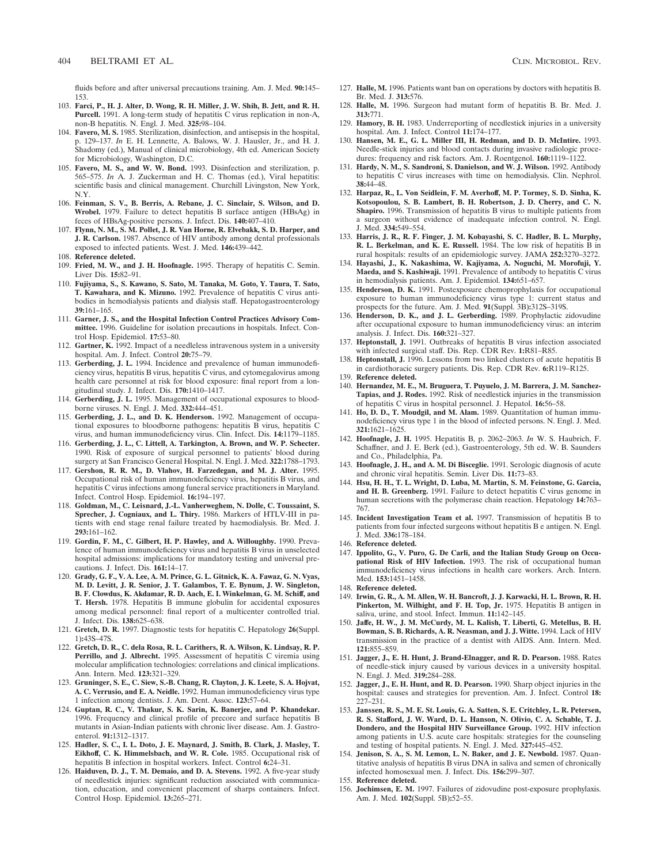fluids before and after universal precautions training. Am. J. Med. **90:**145– 153.

- 103. **Farci, P., H. J. Alter, D. Wong, R. H. Miller, J. W. Shih, B. Jett, and R. H. Purcell.** 1991. A long-term study of hepatitis C virus replication in non-A, non-B hepatitis. N. Engl. J. Med. **325:**98–104.
- 104. **Favero, M. S.** 1985. Sterilization, disinfection, and antisepsis in the hospital, p. 129–137. *In* E. H. Lennette, A. Balows, W. J. Hausler, Jr., and H. J. Shadomy (ed.), Manual of clinical microbiology, 4th ed. American Society for Microbiology, Washington, D.C.
- 105. **Favero, M. S., and W. W. Bond.** 1993. Disinfection and sterilization, p. 565–575. *In* A. J. Zuckerman and H. C. Thomas (ed.), Viral hepatitis: scientific basis and clinical management. Churchill Livingston, New York, N.Y.
- 106. **Feinman, S. V., B. Berris, A. Rebane, J. C. Sinclair, S. Wilson, and D. Wrobel.** 1979. Failure to detect hepatitis B surface antigen (HBsAg) in feces of HBsAg-positive persons. J. Infect. Dis. **140:**407–410.
- 107. **Flynn, N. M., S. M. Pollet, J. R. Van Horne, R. Elvebakk, S. D. Harper, and J. R. Carlson.** 1987. Absence of HIV antibody among dental professionals exposed to infected patients. West. J. Med. **146:**439–442.
- 108. **Reference deleted.**
- 109. **Fried, M. W., and J. H. Hoofnagle.** 1995. Therapy of hepatitis C. Semin. Liver Dis. **15:**82–91.
- 110. **Fujiyama, S., S. Kawano, S. Sato, M. Tanaka, M. Goto, Y. Taura, T. Sato, T. Kawahara, and K. Mizuno.** 1992. Prevalence of hepatitis C virus antibodies in hemodialysis patients and dialysis staff. Hepatogastroenterology **39:**161–165.
- 111. **Garner, J. S., and the Hospital Infection Control Practices Advisory Committee.** 1996. Guideline for isolation precautions in hospitals. Infect. Control Hosp. Epidemiol. **17:**53–80.
- 112. **Gartner, K.** 1992. Impact of a needleless intravenous system in a university hospital. Am. J. Infect. Control **20:**75–79.
- 113. **Gerberding, J. L.** 1994. Incidence and prevalence of human immunodeficiency virus, hepatitis B virus, hepatitis  $\dot{C}$  virus, and cytomegalovirus among health care personnel at risk for blood exposure: final report from a longitudinal study. J. Infect. Dis. **170:**1410–1417.
- 114. **Gerberding, J. L.** 1995. Management of occupational exposures to bloodborne viruses. N. Engl. J. Med. **332:**444–451.
- 115. **Gerberding, J. L., and D. K. Henderson.** 1992. Management of occupational exposures to bloodborne pathogens: hepatitis B virus, hepatitis C virus, and human immunodeficiency virus. Clin. Infect. Dis. **14:**1179–1185.
- 116. **Gerberding, J. L., C. Littell, A. Tarkington, A. Brown, and W. P. Schecter.** 1990. Risk of exposure of surgical personnel to patients' blood during surgery at San Francisco General Hospital. N. Engl. J. Med. **322:**1788–1793.
- 117. **Gershon, R. R. M., D. Vlahov, H. Farzedegan, and M. J. Alter.** 1995. Occupational risk of human immunodeficiency virus, hepatitis B virus, and hepatitis C virus infections among funeral service practitioners in Maryland. Infect. Control Hosp. Epidemiol. **16:**194–197.
- 118. **Goldman, M., C. Leisnard, J.-L. Vanherweghem, N. Dolle, C. Toussaint, S. Sprecher, J. Cogniaux, and L. Thiry.** 1986. Markers of HTLV-III in patients with end stage renal failure treated by haemodialysis. Br. Med. J. **293:**161–162.
- 119. **Gordin, F. M., C. Gilbert, H. P. Hawley, and A. Willoughby.** 1990. Prevalence of human immunodeficiency virus and hepatitis B virus in unselected hospital admissions: implications for mandatory testing and universal precautions. J. Infect. Dis. **161:**14–17.
- 120. **Grady, G. F., V. A. Lee, A. M. Prince, G. L. Gitnick, K. A. Fawaz, G. N. Vyas, M. D. Levitt, J. R. Senior, J. T. Galambos, T. E. Bynum, J. W. Singleton, B. F. Clowdus, K. Akdamar, R. D. Aach, E. I. Winkelman, G. M. Schiff, and T. Hersh.** 1978. Hepatitis B immune globulin for accidental exposures among medical personnel: final report of a multicenter controlled trial. J. Infect. Dis. **138:**625–638.
- 121. **Gretch, D. R.** 1997. Diagnostic tests for hepatitis C. Hepatology **26**(Suppl. 1)**:**43S–47S.
- 122. **Gretch, D. R., C. dela Rosa, R. L. Carithers, R. A. Wilson, K. Lindsay, R. P.** Perrillo, and J. Albrecht. 1995. Assessment of hepatitis C viremia using molecular amplification technologies: correlations and clinical implications. Ann. Intern. Med. **123:**321–329.
- 123. **Gruninger, S. E., C. Siew, S.-B. Chang, R. Clayton, J. K. Leete, S. A. Hojvat, A. C. Verrusio, and E. A. Neidle.** 1992. Human immunodeficiency virus type 1 infection among dentists. J. Am. Dent. Assoc. **123:**57–64.
- 124. **Guptan, R. C., V. Thakur, S. K. Sarin, K. Banerjee, and P. Khandekar.** 1996. Frequency and clinical profile of precore and surface hepatitis B mutants in Asian-Indian patients with chronic liver disease. Am. J. Gastroenterol. **91:**1312–1317.
- 125. **Hadler, S. C., I. L. Doto, J. E. Maynard, J. Smith, B. Clark, J. Masley, T. Eikhoff, C. K. Himmelsbach, and W. R. Cole.** 1985. Occupational risk of hepatitis B infection in hospital workers. Infect. Control **6:**24–31.
- 126. **Haiduven, D. J., T. M. Demaio, and D. A. Stevens.** 1992. A five-year study of needlestick injuries: significant reduction associated with communication, education, and convenient placement of sharps containers. Infect. Control Hosp. Epidemiol. **13:**265–271.
- 127. **Halle, M.** 1996. Patients want ban on operations by doctors with hepatitis B. Br. Med. J. **313:**576.
- 128. **Halle, M.** 1996. Surgeon had mutant form of hepatitis B. Br. Med. J. **313:**771.
- 129. **Hamory, B. H.** 1983. Underreporting of needlestick injuries in a university hospital. Am. J. Infect. Control **11:**174–177.
- 130. **Hansen, M. E., G. L. Miller III, H. Redman, and D. D. McIntire.** 1993. Needle-stick injuries and blood contacts during invasive radiologic procedures: frequency and risk factors. Am. J. Roentgenol. **160:**1119–1122.
- 131. **Hardy, N. M., S. Sandroni, S. Danielson, and W. J. Wilson.** 1992. Antibody to hepatitis C virus increases with time on hemodialysis. Clin. Nephrol. **38:**44–48.
- 132. **Harpaz, R., L. Von Seidlein, F. M. Averhoff, M. P. Tormey, S. D. Sinha, K. Kotsopoulou, S. B. Lambert, B. H. Robertson, J. D. Cherry, and C. N. Shapiro.** 1996. Transmission of hepatitis B virus to multiple patients from a surgeon without evidence of inadequate infection control. N. Engl. J. Med. **334:**549–554.
- 133. **Harris, J. R., R. F. Finger, J. M. Kobayashi, S. C. Hadler, B. L. Murphy, R. L. Berkelman, and K. E. Russell.** 1984. The low risk of hepatitis B in rural hospitals: results of an epidemiologic survey. JAMA **252:**3270–3272.
- 134. **Hayashi, J., K. Nakashima, W. Kajiyama, A. Noguchi, M. Morofuji, Y. Maeda, and S. Kashiwaji.** 1991. Prevalence of antibody to hepatitis C virus in hemodialysis patients. Am. J. Epidemiol. **134:**651–657.
- 135. **Henderson, D. K.** 1991. Postexposure chemoprophylaxis for occupational exposure to human immunodeficiency virus type 1: current status and prospects for the future. Am. J. Med. **91**(Suppl. 3B)**:**312S–319S.
- 136. **Henderson, D. K., and J. L. Gerberding.** 1989. Prophylactic zidovudine after occupational exposure to human immunodeficiency virus: an interim analysis. J. Infect. Dis. **160:**321–327.
- 137. **Heptonstall, J.** 1991. Outbreaks of hepatitis B virus infection associated with infected surgical staff. Dis. Rep. CDR Rev. **1:**R81–R85.
- 138. **Heptonstall, J.** 1996. Lessons from two linked clusters of acute hepatitis B in cardiothoracic surgery patients. Dis. Rep. CDR Rev. **6:**R119–R125.
- 139. **Reference deleted.**
- 140. **Hernandez, M. E., M. Bruguera, T. Puyuelo, J. M. Barrera, J. M. Sanchez-Tapias, and J. Rodes.** 1992. Risk of needlestick injuries in the transmission of hepatitis C virus in hospital personnel. J. Hepatol. **16:**56–58.
- 141. **Ho, D. D., T. Moudgil, and M. Alam.** 1989. Quantitation of human immunodeficiency virus type 1 in the blood of infected persons. N. Engl. J. Med. **321:**1621–1625.
- 142. **Hoofnagle, J. H.** 1995. Hepatitis B, p. 2062–2063. *In* W. S. Haubrich, F. Schaffner, and J. E. Berk (ed.), Gastroenterology, 5th ed. W. B. Saunders and Co., Philadelphia, Pa.
- 143. **Hoofnagle, J. H., and A. M. Di Bisceglie.** 1991. Serologic diagnosis of acute and chronic viral hepatitis. Semin. Liver Dis. **11:**73–83.
- 144. **Hsu, H. H., T. L. Wright, D. Luba, M. Martin, S. M. Feinstone, G. Garcia, and H. B. Greenberg.** 1991. Failure to detect hepatitis C virus genome in human secretions with the polymerase chain reaction. Hepatology **14:**763– 767.
- 145. **Incident Investigation Team et al.** 1997. Transmission of hepatitis B to patients from four infected surgeons without hepatitis B e antigen. N. Engl. J. Med. **336:**178–184.
- 146. **Reference deleted.**
- 147. **Ippolito, G., V. Puro, G. De Carli, and the Italian Study Group on Occupational Risk of HIV Infection.** 1993. The risk of occupational human immunodeficiency virus infections in health care workers. Arch. Intern. Med. **153:**1451–1458.
- 148. **Reference deleted.**
- 149. **Irwin, G. R., A. M. Allen, W. H. Bancroft, J. J. Karwacki, H. L. Brown, R. H. Pinkerton, M. Wilhight, and F. H. Top, Jr.** 1975. Hepatitis B antigen in saliva, urine, and stool. Infect. Immun. **11:**142–145.
- 150. **Jaffe, H. W., J. M. McCurdy, M. L. Kalish, T. Liberti, G. Metellus, B. H. Bowman, S. B. Richards, A. R. Neasman, and J. J. Witte.** 1994. Lack of HIV transmission in the practice of a dentist with AIDS. Ann. Intern. Med. **121:**855–859.
- 151. **Jagger, J., E. H. Hunt, J. Brand-Elnagger, and R. D. Pearson.** 1988. Rates of needle-stick injury caused by various devices in a university hospital. N. Engl. J. Med. **319:**284–288.
- 152. **Jagger, J., E. H. Hunt, and R. D. Pearson.** 1990. Sharp object injuries in the hospital: causes and strategies for prevention. Am. J. Infect. Control **18:** 227–231.
- 153. **Janssen, R. S., M. E. St. Louis, G. A. Satten, S. E. Critchley, L. R. Petersen, R. S. Stafford, J. W. Ward, D. L. Hanson, N. Olivio, C. A. Schable, T. J. Dondero, and the Hospital HIV Surveillance Group.** 1992. HIV infection among patients in U.S. acute care hospitals: strategies for the counseling and testing of hospital patients. N. Engl. J. Med. **327:**445–452.
- 154. **Jenison, S. A., S. M. Lemon, L. N. Baker, and J. E. Newbold.** 1987. Quantitative analysis of hepatitis B virus DNA in saliva and semen of chronically infected homosexual men. J. Infect. Dis. **156:**299–307.
- 155. **Reference deleted.**
- 156. **Jochimsen, E. M.** 1997. Failures of zidovudine post-exposure prophylaxis. Am. J. Med. **102**(Suppl. 5B)**:**52–55.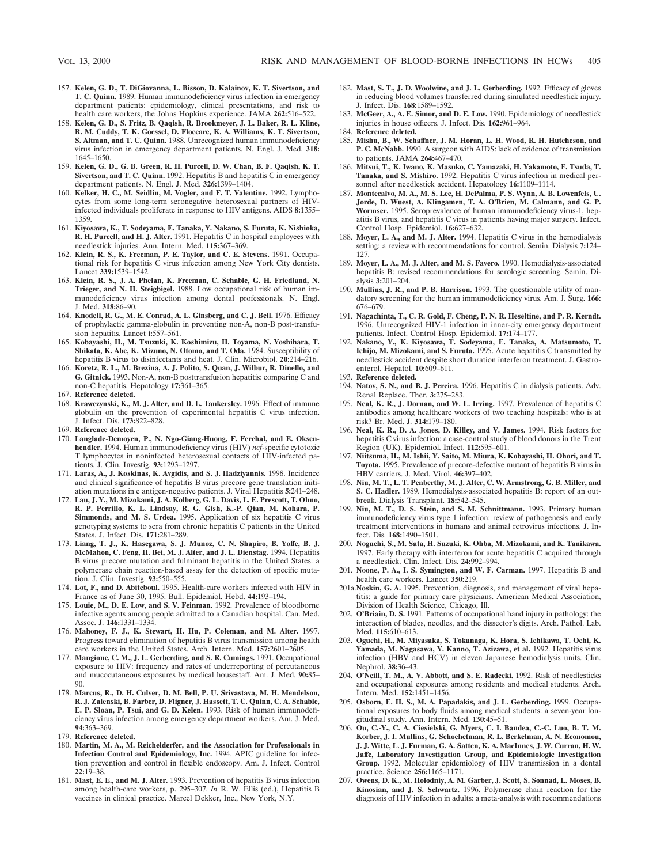- 157. **Kelen, G. D., T. DiGiovanna, L. Bisson, D. Kalainov, K. T. Sivertson, and T. C. Quinn.** 1989. Human immunodeficiency virus infection in emergency department patients: epidemiology, clinical presentations, and risk to health care workers, the Johns Hopkins experience. JAMA **262:**516–522.
- 158. **Kelen, G. D., S. Fritz, B. Qaqish, R. Brookmeyer, J. L. Baker, R. L. Kline, R. M. Cuddy, T. K. Goessel, D. Floccare, K. A. Williams, K. T. Sivertson, S. Altman, and T. C. Quinn.** 1988. Unrecognized human immunodeficiency virus infection in emergency department patients. N. Engl. J. Med. **318:** 1645–1650.
- 159. **Kelen, G. D., G. B. Green, R. H. Purcell, D. W. Chan, B. F. Qaqish, K. T. Sivertson, and T. C. Quinn.** 1992. Hepatitis B and hepatitis C in emergency department patients. N. Engl. J. Med. **326:**1399–1404.
- 160. **Kelker, H. C., M. Seidlin, M. Vogler, and F. T. Valentine.** 1992. Lymphocytes from some long-term seronegative heterosexual partners of HIVinfected individuals proliferate in response to HIV antigens. AIDS **8:**1355– 1359.
- 161. **Kiyosawa, K., T. Sodeyama, E. Tanaka, Y. Nakano, S. Furuta, K. Nishioka, R. H. Purcell, and H. J. Alter.** 1991. Hepatitis C in hospital employees with needlestick injuries. Ann. Intern. Med. **115:**367–369.
- 162. **Klein, R. S., K. Freeman, P. E. Taylor, and C. E. Stevens.** 1991. Occupational risk for hepatitis C virus infection among New York City dentists. Lancet **339:**1539–1542.
- 163. **Klein, R. S., J. A. Phelan, K. Freeman, C. Schable, G. H. Friedland, N. Trieger, and N. H. Steigbigel.** 1988. Low occupational risk of human immunodeficiency virus infection among dental professionals. N. Engl. J. Med. **318:**86–90.
- 164. **Knodell, R. G., M. E. Conrad, A. L. Ginsberg, and C. J. Bell.** 1976. Efficacy of prophylactic gamma-globulin in preventing non-A, non-B post-transfusion hepatitis. Lancet **i:**557–561.
- 165. **Kobayashi, H., M. Tsuzuki, K. Koshimizu, H. Toyama, N. Yoshihara, T. Shikata, K. Abe, K. Mizuno, N. Otomo, and T. Oda.** 1984. Susceptibility of hepatitis B virus to disinfectants and heat. J. Clin. Microbiol. **20:**214–216.
- 166. **Koretz, R. L., M. Brezina, A. J. Polito, S. Quan, J. Wilbur, R. Dinello, and G. Gitnick.** 1993. Non-A, non-B posttransfusion hepatitis: comparing C and non-C hepatitis. Hepatology **17:**361–365.
- 167. **Reference deleted.**
- 168. **Krawczynski, K., M. J. Alter, and D. L. Tankersley.** 1996. Effect of immune globulin on the prevention of experimental hepatitis C virus infection. J. Infect. Dis. **173:**822–828.
- 169. **Reference deleted.**
- 170. **Langlade-Demoyen, P., N. Ngo-Giang-Huong, F. Ferchal, and E. Oksenhendler.** 1994. Human immunodeficiency virus (HIV) *nef*-specific cytotoxic T lymphocytes in noninfected heterosexual contacts of HIV-infected patients. J. Clin. Investig. **93:**1293–1297.
- 171. **Laras, A., J. Koskinas, K. Avgidis, and S. J. Hadziyannis.** 1998. Incidence and clinical significance of hepatitis B virus precore gene translation initiation mutations in e antigen-negative patients. J. Viral Hepatitis **5:**241–248.
- 172. **Lau, J. Y., M. Mizokami, J. A. Kolberg, G. L. Davis, L. E. Prescott, T. Ohno, R. P. Perrillo, K. L. Lindsay, R. G. Gish, K.-P. Qian, M. Kohara, P. Simmonds, and M. S. Urdea.** 1995. Application of six hepatitis C virus genotyping systems to sera from chronic hepatitis C patients in the United States. J. Infect. Dis. **171:**281–289.
- 173. **Liang, T. J., K. Hasegawa, S. J. Munoz, C. N. Shapiro, B. Yoffe, B. J. McMahon, C. Feng, H. Bei, M. J. Alter, and J. L. Dienstag.** 1994. Hepatitis B virus precore mutation and fulminant hepatitis in the United States: a polymerase chain reaction-based assay for the detection of specific mutation. J. Clin. Investig. **93:**550–555.
- 174. **Lot, F., and D. Abiteboul.** 1995. Health-care workers infected with HIV in France as of June 30, 1995. Bull. Epidemiol. Hebd. **44:**193–194.
- 175. **Louie, M., D. E. Low, and S. V. Feinman.** 1992. Prevalence of bloodborne infective agents among people admitted to a Canadian hospital. Can. Med. Assoc. J. **146:**1331–1334.
- 176. **Mahoney, F. J., K. Stewart, H. Hu, P. Coleman, and M. Alter.** 1997. Progress toward elimination of hepatitis B virus transmission among health care workers in the United States. Arch. Intern. Med. **157:**2601–2605.
- 177. **Mangione, C. M., J. L. Gerberding, and S. R. Cumings.** 1991. Occupational exposure to HIV: frequency and rates of underreporting of percutaneous and mucocutaneous exposures by medical housestaff. Am. J. Med. **90:**85– 90.
- 178. **Marcus, R., D. H. Culver, D. M. Bell, P. U. Srivastava, M. H. Mendelson, R. J. Zalenski, B. Farber, D. Fligner, J. Hassett, T. C. Quinn, C. A. Schable, E. P. Sloan, P. Tsui, and G. D. Kelen.** 1993. Risk of human immunodeficiency virus infection among emergency department workers. Am. J. Med. **94:**363–369.
- 179. **Reference deleted.**
- 180. **Martin, M. A., M. Reichelderfer, and the Association for Professionals in Infection Control and Epidemiology, Inc.** 1994. APIC guideline for infection prevention and control in flexible endoscopy. Am. J. Infect. Control **22:**19–38.
- 181. **Mast, E. E., and M. J. Alter.** 1993. Prevention of hepatitis B virus infection among health-care workers, p. 295–307. *In* R. W. Ellis (ed.), Hepatitis B vaccines in clinical practice. Marcel Dekker, Inc., New York, N.Y.
- 182. **Mast, S. T., J. D. Woolwine, and J. L. Gerberding.** 1992. Efficacy of gloves in reducing blood volumes transferred during simulated needlestick injury. J. Infect. Dis. **168:**1589–1592.
- 183. **McGeer, A., A. E. Simor, and D. E. Low.** 1990. Epidemiology of needlestick injuries in house officers. J. Infect. Dis. **162:**961–964.

184. **Reference deleted.**

- 185. **Mishu, B., W. Schaffner, J. M. Horan, L. H. Wood, R. H. Hutcheson, and P. C. McNabb.** 1990. A surgeon with AIDS: lack of evidence of transmission to patients. JAMA **264:**467–470.
- 186. **Mitsui, T., K. Iwano, K. Masuko, C. Yamazaki, H. Yakamoto, F. Tsuda, T. Tanaka, and S. Mishiro.** 1992. Hepatitis C virus infection in medical personnel after needlestick accident. Hepatology **16:**1109–1114.
- 187. **Montecalvo, M. A., M. S. Lee, H. DePalma, P. S. Wynn, A. B. Lowenfels, U. Jorde, D. Wuest, A. Klingamen, T. A. O'Brien, M. Calmann, and G. P. Wormser.** 1995. Seroprevalence of human immunodeficiency virus-1, hepatitis B virus, and hepatitis C virus in patients having major surgery. Infect. Control Hosp. Epidemiol. **16:**627–632.
- 188. **Moyer, L. A., and M. J. Alter.** 1994. Hepatitis C virus in the hemodialysis setting: a review with recommendations for control. Semin. Dialysis **7:**124– 127.
- 189. **Moyer, L. A., M. J. Alter, and M. S. Favero.** 1990. Hemodialysis-associated hepatitis B: revised recommendations for serologic screening. Semin. Dialysis **3:**201–204.
- 190. **Mullins, J. R., and P. B. Harrison.** 1993. The questionable utility of mandatory screening for the human immunodeficiency virus. Am. J. Surg. **166:** 676–679.
- 191. **Nagachinta, T., C. R. Gold, F. Cheng, P. N. R. Heseltine, and P. R. Kerndt.** 1996. Unrecognized HIV-1 infection in inner-city emergency department patients. Infect. Control Hosp. Epidemiol. **17:**174–177.
- 192. **Nakano, Y., K. Kiyosawa, T. Sodeyama, E. Tanaka, A. Matsumoto, T. Ichijo, M. Mizokami, and S. Furuta.** 1995. Acute hepatitis C transmitted by needlestick accident despite short duration interferon treatment. J. Gastroenterol. Hepatol. **10:**609–611.
- 193. **Reference deleted.**
- 194. **Natov, S. N., and B. J. Pereira.** 1996. Hepatitis C in dialysis patients. Adv. Renal Replace. Ther. **3:**275–283.
- 195. **Neal, K. R., J. Dornan, and W. L. Irving.** 1997. Prevalence of hepatitis C antibodies among healthcare workers of two teaching hospitals: who is at risk? Br. Med. J. **314:**179–180.
- 196. **Neal, K. R., D. A. Jones, D. Killey, and V. James.** 1994. Risk factors for hepatitis C virus infection: a case-control study of blood donors in the Trent Region (UK). Epidemiol. Infect. **112:**595–601.
- 197. **Niitsuma, H., M. Ishii, Y. Saito, M. Miura, K. Kobayashi, H. Ohori, and T. Toyota.** 1995. Prevalence of precore-defective mutant of hepatitis B virus in HBV carriers. J. Med. Virol. **46:**397–402.
- 198. **Niu, M. T., L. T. Penberthy, M. J. Alter, C. W. Armstrong, G. B. Miller, and S. C. Hadler.** 1989. Hemodialysis-associated hepatitis B: report of an outbreak. Dialysis Transplant. **18:**542–545.
- 199. **Niu, M. T., D. S. Stein, and S. M. Schnittmann.** 1993. Primary human immunodeficiency virus type 1 infection: review of pathogenesis and early treatment interventions in humans and animal retrovirus infections. J. Infect. Dis. **168:**1490–1501.
- 200. **Noguchi, S., M. Sata, H. Suzuki, K. Ohba, M. Mizokami, and K. Tanikawa.** 1997. Early therapy with interferon for acute hepatitis C acquired through a needlestick. Clin. Infect. Dis. **24:**992–994.
- 201. **Noone, P. A., I. S. Symington, and W. F. Carman.** 1997. Hepatitis B and health care workers. Lancet **350:**219.
- 201a.**Noskin, G. A.** 1995. Prevention, diagnosis, and management of viral hepatitis: a guide for primary care physicians. American Medical Association, Division of Health Science, Chicago, Ill.
- 202. **O'Briain, D. S.** 1991. Patterns of occupational hand injury in pathology: the interaction of blades, needles, and the dissector's digits. Arch. Pathol. Lab. Med. **115:**610–613.
- 203. **Oguchi, H., M. Miyasaka, S. Tokunaga, K. Hora, S. Ichikawa, T. Ochi, K. Yamada, M. Nagasawa, Y. Kanno, T. Azizawa, et al.** 1992. Hepatitis virus infection (HBV and HCV) in eleven Japanese hemodialysis units. Clin. Nephrol. **38:**36–43.
- 204. **O'Neill, T. M., A. V. Abbott, and S. E. Radecki.** 1992. Risk of needlesticks and occupational exposures among residents and medical students. Arch. Intern. Med. **152:**1451–1456.
- 205. **Osborn, E. H. S., M. A. Papadakis, and J. L. Gerberding.** 1999. Occupational exposures to body fluids among medical students: a seven-year longitudinal study. Ann. Intern. Med. **130:**45–51.
- 206. **Ou, C.-Y., C. A. Ciesielski, G. Myers, C. I. Bandea, C.-C. Luo, B. T. M. Korber, J. I. Mullins, G. Schochetman, R. L. Berkelman, A. N. Economou, J. J. Witte, L. J. Furman, G. A. Satten, K. A. MacInnes, J. W. Curran, H. W. Jaffe, Laboratory Investigation Group, and Epidemiologic Investigation Group.** 1992. Molecular epidemiology of HIV transmission in a dental practice. Science **256:**1165–1171.
- 207. **Owens, D. K., M. Holodniy, A. M. Garber, J. Scott, S. Sonnad, L. Moses, B. Kinosian, and J. S. Schwartz.** 1996. Polymerase chain reaction for the diagnosis of HIV infection in adults: a meta-analysis with recommendations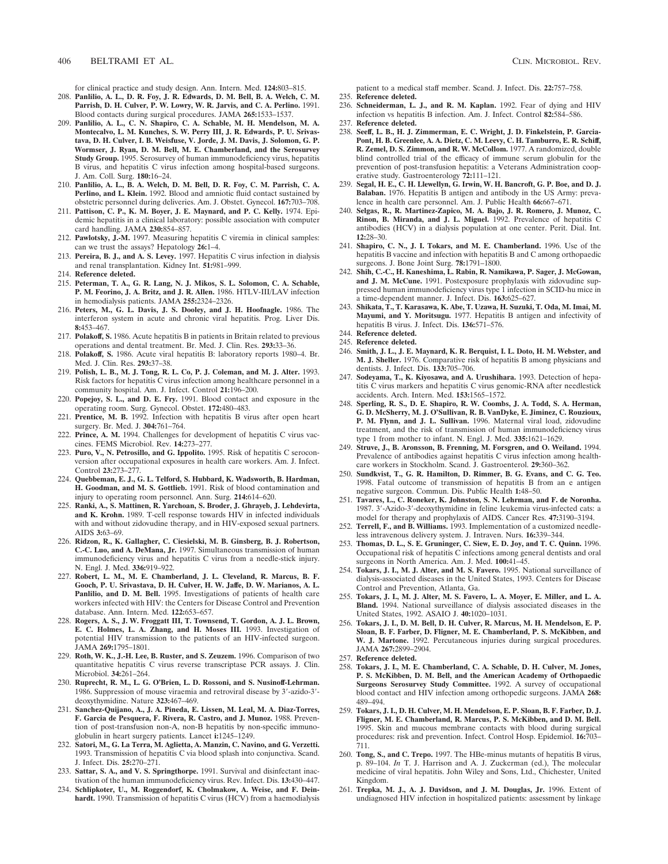- 208. **Panlilio, A. L., D. R. Foy, J. R. Edwards, D. M. Bell, B. A. Welch, C. M. Parrish, D. H. Culver, P. W. Lowry, W. R. Jarvis, and C. A. Perlino.** 1991. Blood contacts during surgical procedures. JAMA **265:**1533–1537.
- 209. **Panlilio, A. L., C. N. Shapiro, C. A. Schable, M. H. Mendelson, M. A. Montecalvo, L. M. Kunches, S. W. Perry III, J. R. Edwards, P. U. Srivastava, D. H. Culver, I. B. Weisfuse, V. Jorde, J. M. Davis, J. Solomon, G. P. Wormser, J. Ryan, D. M. Bell, M. E. Chamberland, and the Serosurvey Study Group.** 1995. Serosurvey of human immunodeficiency virus, hepatitis B virus, and hepatitis C virus infection among hospital-based surgeons. J. Am. Coll. Surg. **180:**16–24.
- 210. **Panlilio, A. L., B. A. Welch, D. M. Bell, D. R. Foy, C. M. Parrish, C. A. Perlino, and L. Klein.** 1992. Blood and amniotic fluid contact sustained by obstetric personnel during deliveries. Am. J. Obstet. Gynecol. **167:**703–708.
- 211. **Pattison, C. P., K. M. Boyer, J. E. Maynard, and P. C. Kelly.** 1974. Epidemic hepatitis in a clinical laboratory: possible association with computer card handling. JAMA **230:**854–857.
- 212. **Pawlotsky, J.-M.** 1997. Measuring hepatitis C viremia in clinical samples: can we trust the assays? Hepatology **26:**1–4.
- 213. **Pereira, B. J., and A. S. Levey.** 1997. Hepatitis C virus infection in dialysis and renal transplantation. Kidney Int. **51:**981–999.
- 214. **Reference deleted.**
- 215. **Peterman, T. A., G. R. Lang, N. J. Mikos, S. L. Solomon, C. A. Schable, P. M. Feorino, J. A. Britz, and J. R. Allen.** 1986. HTLV-III/LAV infection in hemodialysis patients. JAMA **255:**2324–2326.
- 216. **Peters, M., G. L. Davis, J. S. Dooley, and J. H. Hoofnagle.** 1986. The interferon system in acute and chronic viral hepatitis. Prog. Liver Dis. **8:**453–467.
- 217. **Polakoff, S.** 1986. Acute hepatitis B in patients in Britain related to previous operations and dental treatment. Br. Med. J. Clin. Res. **293:**33–36.
- 218. **Polakoff, S.** 1986. Acute viral hepatitis B: laboratory reports 1980–4. Br. Med. J. Clin. Res. **293:**37–38.
- 219. **Polish, L. B., M. J. Tong, R. L. Co, P. J. Coleman, and M. J. Alter.** 1993. Risk factors for hepatitis C virus infection among healthcare personnel in a community hospital. Am. J. Infect. Control **21:**196–200.
- 220. **Popejoy, S. L., and D. E. Fry.** 1991. Blood contact and exposure in the operating room. Surg. Gynecol. Obstet. **172:**480–483.
- 221. **Prentice, M. B.** 1992. Infection with hepatitis B virus after open heart surgery. Br. Med. J. **304:**761–764.
- 222. **Prince, A. M.** 1994. Challenges for development of hepatitis C virus vaccines. FEMS Microbiol. Rev. **14:**273–277.
- 223. **Puro, V., N. Petrosillo, and G. Ippolito.** 1995. Risk of hepatitis C seroconversion after occupational exposures in health care workers. Am. J. Infect. Control **23:**273–277.
- 224. **Quebbeman, E. J., G. L. Telford, S. Hubbard, K. Wadsworth, B. Hardman, H. Goodman, and M. S. Gottlieb.** 1991. Risk of blood contamination and injury to operating room personnel. Ann. Surg. **214:**614–620.
- 225. **Ranki, A., S. Mattinen, R. Yarchoan, S. Broder, J. Ghrayeb, J. Lehdevirta, and K. Krohn.** 1989. T-cell response towards HIV in infected individuals with and without zidovudine therapy, and in HIV-exposed sexual partners. AIDS **3:**63–69.
- 226. **Ridzon, R., K. Gallagher, C. Ciesielski, M. B. Ginsberg, B. J. Robertson, C.-C. Luo, and A. DeMana, Jr.** 1997. Simultaneous transmission of human immunodeficiency virus and hepatitis C virus from a needle-stick injury. N. Engl. J. Med. **336:**919–922.
- 227. **Robert, L. M., M. E. Chamberland, J. L. Cleveland, R. Marcus, B. F. Gooch, P. U. Srivastava, D. H. Culver, H. W. Jaffe, D. W. Marianos, A. L. Panlilio, and D. M. Bell.** 1995. Investigations of patients of health care workers infected with HIV: the Centers for Disease Control and Prevention database. Ann. Intern. Med. **122:**653–657.
- 228. **Rogers, A. S., J. W. Froggatt III, T. Townsend, T. Gordon, A. J. L. Brown, E. C. Holmes, L. A. Zhang, and H. Moses III.** 1993. Investigation of potential HIV transmission to the patients of an HIV-infected surgeon. JAMA **269:**1795–1801.
- 229. **Roth, W. K., J.-H. Lee, B. Ruster, and S. Zeuzem.** 1996. Comparison of two quantitative hepatitis C virus reverse transcriptase PCR assays. J. Clin. Microbiol. **34:**261–264.
- 230. **Ruprecht, R. M., L. G. O'Brien, L. D. Rossoni, and S. Nusinoff-Lehrman.** 1986. Suppression of mouse viraemia and retroviral disease by 3'-azido-3'deoxythymidine. Nature **323:**467–469.
- 231. **Sanchez-Quijano, A., J. A. Pineda, E. Lissen, M. Leal, M. A. Diaz-Torres, F. Garcia de Pesquera, F. Rivera, R. Castro, and J. Munoz.** 1988. Prevention of post-transfusion non-A, non-B hepatitis by non-specific immunoglobulin in heart surgery patients. Lancet **i:**1245–1249.
- 232. **Satori, M., G. La Terra, M. Aglietta, A. Manzin, C. Navino, and G. Verzetti.** 1993. Transmission of hepatitis C via blood splash into conjunctiva. Scand. J. Infect. Dis. **25:**270–271.
- 233. **Sattar, S. A., and V. S. Springthorpe.** 1991. Survival and disinfectant inactivation of the human immunodeficiency virus. Rev. Infect. Dis. **13:**430–447.
- 234. **Schlipkoter, U., M. Roggendorf, K. Cholmakow, A. Weise, and F. Deinhardt.** 1990. Transmission of hepatitis C virus (HCV) from a haemodialysis
- patient to a medical staff member. Scand. J. Infect. Dis. **22:**757–758.
- 235. **Reference deleted.**
- 236. **Schneiderman, L. J., and R. M. Kaplan.** 1992. Fear of dying and HIV infection vs hepatitis B infection. Am. J. Infect. Control **82:**584–586.
- 237. **Reference deleted.**<br>238. **Seeff. L. B., H. J.**
- Seeff, L. B., H. J. Zimmerman, E. C. Wright, J. D. Finkelstein, P. Garcia-**Pont, H. B. Greenlee, A. A. Dietz, C. M. Leevy, C. H. Tamburro, E. R. Schiff, R. Zemel, D. S. Zimmon, and R. W. McCollom.** 1977. A randomized, double blind controlled trial of the efficacy of immune serum globulin for the prevention of post-transfusion hepatitis: a Veterans Administration cooperative study. Gastroenterology **72:**111–121.
- 239. **Segal, H. E., C. H. Llewellyn, G. Irwin, W. H. Bancroft, G. P. Boe, and D. J. Balaban.** 1976. Hepatitis B antigen and antibody in the US Army: prevalence in health care personnel. Am. J. Public Health **66:**667–671.
- 240. **Selgas, R., R. Martinez-Zapico, M. A. Bajo, J. R. Romero, J. Munoz, C. Rinon, B. Miranda, and J. L. Miguel.** 1992. Prevalence of hepatitis C antibodies (HCV) in a dialysis population at one center. Perit. Dial. Int. **12:**28–30.
- 241. **Shapiro, C. N., J. I. Tokars, and M. E. Chamberland.** 1996. Use of the hepatitis B vaccine and infection with hepatitis B and C among orthopaedic surgeons. J. Bone Joint Surg. **78:**1791–1800.
- 242. **Shih, C.-C., H. Kaneshima, L. Rabin, R. Namikawa, P. Sager, J. McGowan, and J. M. McCune.** 1991. Postexposure prophylaxis with zidovudine suppressed human immunodeficiency virus type 1 infection in SCID-hu mice in a time-dependent manner. J. Infect. Dis. **163:**625–627.
- 243. **Shikata, T., T. Karasawa, K. Abe, T. Uzawa, H. Suzuki, T. Oda, M. Imai, M. Mayumi, and Y. Moritsugu.** 1977. Hepatitis B antigen and infectivity of hepatitis B virus. J. Infect. Dis. **136:**571–576.
- 244. **Reference deleted.**
- 245. **Reference deleted.**
- 246. **Smith, J. L., J. E. Maynard, K. R. Berquist, I. L. Doto, H. M. Webster, and M. J. Sheller.** 1976. Comparative risk of hepatitis B among physicians and dentists. J. Infect. Dis. **133:**705–706.
- 247. **Sodeyama, T., K. Kiyosawa, and A. Urushihara.** 1993. Detection of hepatitis C virus markers and hepatitis C virus genomic-RNA after needlestick accidents. Arch. Intern. Med. **153:**1565–1572.
- 248. **Sperling, R. S., D. E. Shapiro, R. W. Coombs, J. A. Todd, S. A. Herman, G. D. McSherry, M. J. O'Sullivan, R. B. VanDyke, E. Jiminez, C. Rouzioux, P. M. Flynn, and J. L. Sullivan.** 1996. Maternal viral load, zidovudine treatment, and the risk of transmission of human immunodeficiency virus type 1 from mother to infant. N. Engl. J. Med. **335:**1621–1629.
- 249. **Struve, J., B. Aronsson, B. Frenning, M. Forsgren, and O. Weiland.** 1994. Prevalence of antibodies against hepatitis C virus infection among healthcare workers in Stockholm. Scand. J. Gastroenterol. **29:**360–362.
- 250. **Sundkvist, T., G. R. Hamilton, D. Rimmer, B. G. Evans, and C. G. Teo.** 1998. Fatal outcome of transmission of hepatitis B from an e antigen negative surgeon. Commun. Dis. Public Health **1:**48–50.
- 251. **Tavares, L., C. Roneker, K. Johnston, S. N. Lehrman, and F. de Noronha.** 1987. 3'-Azido-3'-deoxythymidine in feline leukemia virus-infected cats: a model for therapy and prophylaxis of AIDS. Cancer Res. **47:**3190–3194.
- 252. **Terrell, F., and B. Williams.** 1993. Implementation of a customized needleless intravenous delivery system. J. Intraven. Nurs. **16:**339–344.
- 253. **Thomas, D. L., S. E. Gruninger, C. Siew, E. D. Joy, and T. C. Quinn.** 1996. Occupational risk of hepatitis C infections among general dentists and oral surgeons in North America. Am. J. Med. **100:**41–45.
- 254. **Tokars, J. I., M. J. Alter, and M. S. Favero.** 1995. National surveillance of dialysis-associated diseases in the United States, 1993. Centers for Disease Control and Prevention, Atlanta, Ga.
- 255. **Tokars, J. I., M. J. Alter, M. S. Favero, L. A. Moyer, E. Miller, and L. A. Bland.** 1994. National surveillance of dialysis associated diseases in the United States, 1992. ASAIO J. **40:**1020–1031.
- 256. **Tokars, J. I., D. M. Bell, D. H. Culver, R. Marcus, M. H. Mendelson, E. P. Sloan, B. F. Farber, D. Fligner, M. E. Chamberland, P. S. McKibben, and W. J. Martone.** 1992. Percutaneous injuries during surgical procedures. JAMA **267:**2899–2904.
- 257. **Reference deleted.**
- 258. **Tokars, J. I., M. E. Chamberland, C. A. Schable, D. H. Culver, M. Jones, P. S. McKibben, D. M. Bell, and the American Academy of Orthopaedic Surgeons Serosurvey Study Committee.** 1992. A survey of occupational blood contact and HIV infection among orthopedic surgeons. JAMA **268:** 489–494.
- 259. **Tokars, J. I., D. H. Culver, M. H. Mendelson, E. P. Sloan, B. F. Farber, D. J. Fligner, M. E. Chamberland, R. Marcus, P. S. McKibben, and D. M. Bell.** 1995. Skin and mucous membrane contacts with blood during surgical procedures: risk and prevention. Infect. Control Hosp. Epidemiol. **16:**703– 711.
- 260. **Tong, S., and C. Trepo.** 1997. The HBe-minus mutants of hepatitis B virus, p. 89–104. *In* T. J. Harrison and A. J. Zuckerman (ed.), The molecular medicine of viral hepatitis. John Wiley and Sons, Ltd., Chichester, United Kingdom.
- 261. **Trepka, M. J., A. J. Davidson, and J. M. Douglas, Jr.** 1996. Extent of undiagnosed HIV infection in hospitalized patients: assessment by linkage